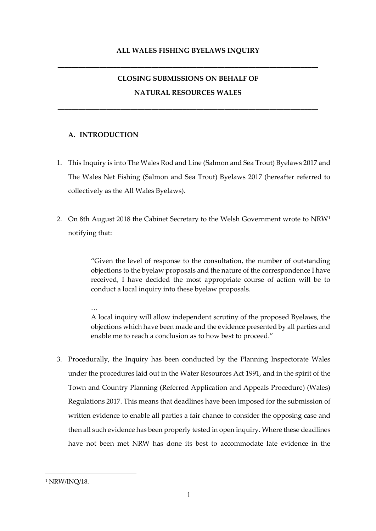**\_\_\_\_\_\_\_\_\_\_\_\_\_\_\_\_\_\_\_\_\_\_\_\_\_\_\_\_\_\_\_\_\_\_\_\_\_\_\_\_\_\_\_\_\_\_\_\_\_\_\_\_\_\_\_\_\_\_\_\_\_\_\_\_\_\_\_\_\_\_\_\_\_\_\_**

# **CLOSING SUBMISSIONS ON BEHALF OF NATURAL RESOURCES WALES**

**\_\_\_\_\_\_\_\_\_\_\_\_\_\_\_\_\_\_\_\_\_\_\_\_\_\_\_\_\_\_\_\_\_\_\_\_\_\_\_\_\_\_\_\_\_\_\_\_\_\_\_\_\_\_\_\_\_\_\_\_\_\_\_\_\_\_\_\_\_\_\_\_\_\_\_**

# **A. INTRODUCTION**

- 1. This Inquiry is into The Wales Rod and Line (Salmon and Sea Trout) Byelaws 2017 and The Wales Net Fishing (Salmon and Sea Trout) Byelaws 2017 (hereafter referred to collectively as the All Wales Byelaws).
- 2. On 8th August 2018 the Cabinet Secretary to the Welsh Government wrote to  $NRW<sup>1</sup>$ notifying that:

"Given the level of response to the consultation, the number of outstanding objections to the byelaw proposals and the nature of the correspondence I have received, I have decided the most appropriate course of action will be to conduct a local inquiry into these byelaw proposals.

… A local inquiry will allow independent scrutiny of the proposed Byelaws, the objections which have been made and the evidence presented by all parties and enable me to reach a conclusion as to how best to proceed."

3. Procedurally, the Inquiry has been conducted by the Planning Inspectorate Wales under the procedures laid out in the Water Resources Act 1991, and in the spirit of the Town and Country Planning (Referred Application and Appeals Procedure) (Wales) Regulations 2017. This means that deadlines have been imposed for the submission of written evidence to enable all parties a fair chance to consider the opposing case and then all such evidence has been properly tested in open inquiry. Where these deadlines have not been met NRW has done its best to accommodate late evidence in the

<sup>&</sup>lt;sup>1</sup> NRW/INO/18.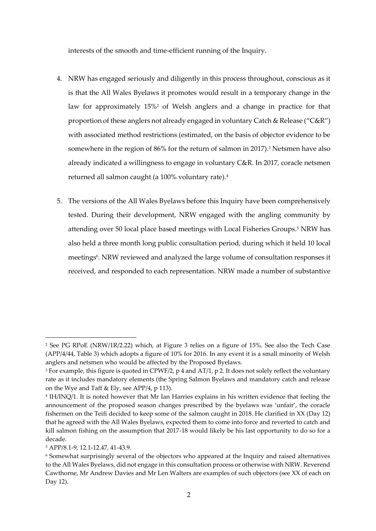interests of the smooth and time-efficient running of the Inquiry.

- 4. NRW has engaged seriously and diligently in this process throughout, conscious as it is that the All Wales Byelaws it promotes would result in a temporary change in the law for approximately 15%<sup>2</sup> of Welsh anglers and a change in practice for that proportion of these anglers not already engaged in voluntary Catch & Release ("C&R") with associated method restrictions (estimated, on the basis of objector evidence to be somewhere in the region of 86% for the return of salmon in 2017).<sup>3</sup> Netsmen have also already indicated a willingness to engage in voluntary C&R. In 2017, coracle netsmen returned all salmon caught (a 100% voluntary rate).<sup>4</sup>
- 5. The versions of the All Wales Byelaws before this Inquiry have been comprehensively tested. During their development, NRW engaged with the angling community by attending over 50 local place based meetings with Local Fisheries Groups.<sup>5</sup> NRW has also held a three month long public consultation period, during which it held 10 local meetings<sup>6</sup>. NRW reviewed and analyzed the large volume of consultation responses it received, and responded to each representation. NRW made a number of substantive

<sup>2</sup> See PG RPoE (NRW/1R/2.22) which, at Figure 3 relies on a figure of 15%. See also the Tech Case (APP/4/44, Table 3) which adopts a figure of 10% for 2016. In any event it is a small minority of Welsh anglers and netsmen who would be affected by the Proposed Byelaws.

<sup>&</sup>lt;sup>3</sup> For example, this figure is quoted in CPWF/2, p 4 and AT/1, p 2. It does not solely reflect the voluntary rate as it includes mandatory elements (the Spring Salmon Byelaws and mandatory catch and release on the Wye and Taff & Ely, see APP/4, p 113).

<sup>4</sup> IH/INQ/1. It is noted however that Mr Ian Harries explains in his written evidence that feeling the announcement of the proposed season changes prescribed by the byelaws was 'unfair', the coracle fishermen on the Teifi decided to keep some of the salmon caught in 2018. He clarified in XX (Day 12) that he agreed with the All Wales Byelaws, expected them to come into force and reverted to catch and kill salmon fishing on the assumption that 2017-18 would likely be his last opportunity to do so for a decade.

<sup>5</sup> APP/8.1-9, 12.1-12.47, 41-43.9.

<sup>6</sup> Somewhat surprisingly several of the objectors who appeared at the Inquiry and raised alternatives to the All Wales Byelaws, did not engage in this consultation process or otherwise with NRW. Reverend Cawthorne, Mr Andrew Davies and Mr Len Walters are examples of such objectors (see XX of each on Day 12).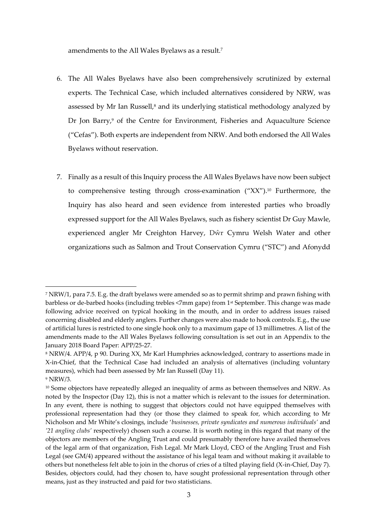amendments to the All Wales Byelaws as a result.<sup>7</sup>

- 6. The All Wales Byelaws have also been comprehensively scrutinized by external experts. The Technical Case, which included alternatives considered by NRW, was assessed by Mr Ian Russell, $^8$  and its underlying statistical methodology analyzed by Dr Jon Barry,<sup>9</sup> of the Centre for Environment, Fisheries and Aquaculture Science ("Cefas"). Both experts are independent from NRW. And both endorsed the All Wales Byelaws without reservation.
- 7. Finally as a result of this Inquiry process the All Wales Byelaws have now been subject to comprehensive testing through cross-examination ("XX"). <sup>10</sup> Furthermore, the Inquiry has also heard and seen evidence from interested parties who broadly expressed support for the All Wales Byelaws, such as fishery scientist Dr Guy Mawle, experienced angler Mr Creighton Harvey, Dŵr Cymru Welsh Water and other organizations such as Salmon and Trout Conservation Cymru ("STC") and Afonydd

<sup>7</sup> NRW/1, para 7.5. E.g. the draft byelaws were amended so as to permit shrimp and prawn fishing with barbless or de-barbed hooks (including trebles <7mm gape) from 1st September. This change was made following advice received on typical hooking in the mouth, and in order to address issues raised concerning disabled and elderly anglers. Further changes were also made to hook controls. E.g., the use of artificial lures is restricted to one single hook only to a maximum gape of 13 millimetres. A list of the amendments made to the All Wales Byelaws following consultation is set out in an Appendix to the January 2018 Board Paper: APP/25-27.

<sup>8</sup> NRW/4. APP/4, p 90. During XX, Mr Karl Humphries acknowledged, contrary to assertions made in X-in-Chief, that the Technical Case had included an analysis of alternatives (including voluntary measures), which had been assessed by Mr Ian Russell (Day 11). <sup>9</sup> NRW/3.

<sup>&</sup>lt;sup>10</sup> Some objectors have repeatedly alleged an inequality of arms as between themselves and NRW. As noted by the Inspector (Day 12), this is not a matter which is relevant to the issues for determination. In any event, there is nothing to suggest that objectors could not have equipped themselves with professional representation had they (or those they claimed to speak for, which according to Mr Nicholson and Mr White's closings, include '*businesses, private syndicates and numerous individuals'* and *'21 angling clubs'* respectively) chosen such a course. It is worth noting in this regard that many of the objectors are members of the Angling Trust and could presumably therefore have availed themselves of the legal arm of that organization, Fish Legal. Mr Mark Lloyd, CEO of the Angling Trust and Fish Legal (see GM/4) appeared without the assistance of his legal team and without making it available to others but nonetheless felt able to join in the chorus of cries of a tilted playing field (X-in-Chief, Day 7). Besides, objectors could, had they chosen to, have sought professional representation through other means, just as they instructed and paid for two statisticians.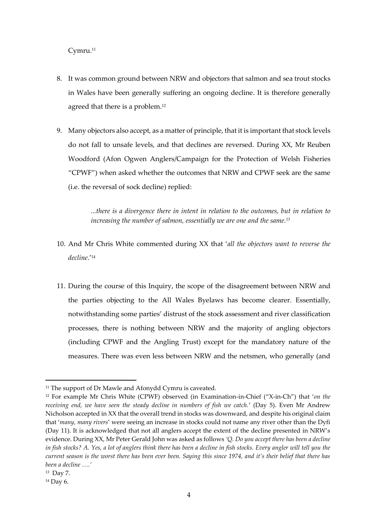Cymru.<sup>11</sup>

- 8. It was common ground between NRW and objectors that salmon and sea trout stocks in Wales have been generally suffering an ongoing decline. It is therefore generally agreed that there is a problem.<sup>12</sup>
- 9. Many objectors also accept, as a matter of principle, that it is important that stock levels do not fall to unsafe levels, and that declines are reversed. During XX, Mr Reuben Woodford (Afon Ogwen Anglers/Campaign for the Protection of Welsh Fisheries "CPWF") when asked whether the outcomes that NRW and CPWF seek are the same (i.e. the reversal of sock decline) replied:

*...there is a divergence there in intent in relation to the outcomes, but in relation to increasing the number of salmon, essentially we are one and the same.<sup>13</sup>*

- 10. And Mr Chris White commented during XX that '*all the objectors want to reverse the decline*.'<sup>14</sup>
- 11. During the course of this Inquiry, the scope of the disagreement between NRW and the parties objecting to the All Wales Byelaws has become clearer. Essentially, notwithstanding some parties' distrust of the stock assessment and river classification processes, there is nothing between NRW and the majority of angling objectors (including CPWF and the Angling Trust) except for the mandatory nature of the measures. There was even less between NRW and the netsmen, who generally (and

<sup>&</sup>lt;sup>11</sup> The support of Dr Mawle and Afonydd Cymru is caveated.

<sup>12</sup> For example Mr Chris White (CPWF) observed (in Examination-in-Chief ("X-in-Ch") that '*on the receiving end, we have seen the steady decline in numbers of fish we catch.*' (Day 5). Even Mr Andrew Nicholson accepted in XX that the overall trend in stocks was downward, and despite his original claim that '*many, many rivers*' were seeing an increase in stocks could not name any river other than the Dyfi (Day 11). It is acknowledged that not all anglers accept the extent of the decline presented in NRW's evidence. During XX, Mr Peter Gerald John was asked as follows *'Q. Do you accept there has been a decline in fish stocks? A. Yes, a lot of anglers think there has been a decline in fish stocks. Every angler will tell you the current season is the worst there has been ever been. Saying this since 1974, and it's their belief that there has been a decline ….'*

<sup>13</sup> Day 7.

<sup>14</sup> Day 6.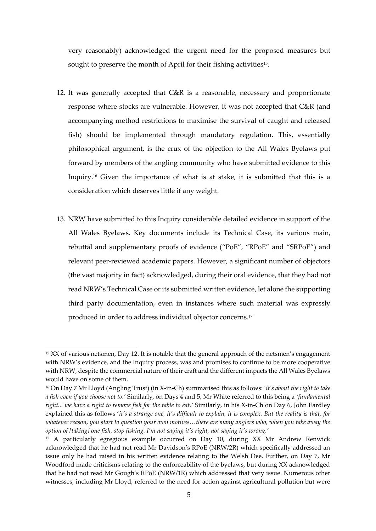very reasonably) acknowledged the urgent need for the proposed measures but sought to preserve the month of April for their fishing activities<sup>15</sup>.

- 12. It was generally accepted that C&R is a reasonable, necessary and proportionate response where stocks are vulnerable. However, it was not accepted that C&R (and accompanying method restrictions to maximise the survival of caught and released fish) should be implemented through mandatory regulation. This, essentially philosophical argument, is the crux of the objection to the All Wales Byelaws put forward by members of the angling community who have submitted evidence to this Inquiry. <sup>16</sup> Given the importance of what is at stake, it is submitted that this is a consideration which deserves little if any weight.
- 13. NRW have submitted to this Inquiry considerable detailed evidence in support of the All Wales Byelaws. Key documents include its Technical Case, its various main, rebuttal and supplementary proofs of evidence ("PoE", "RPoE" and "SRPoE") and relevant peer-reviewed academic papers. However, a significant number of objectors (the vast majority in fact) acknowledged, during their oral evidence, that they had not read NRW's Technical Case or its submitted written evidence, let alone the supporting third party documentation, even in instances where such material was expressly produced in order to address individual objector concerns. 17

<sup>&</sup>lt;sup>15</sup> XX of various netsmen, Day 12. It is notable that the general approach of the netsmen's engagement with NRW's evidence, and the Inquiry process, was and promises to continue to be more cooperative with NRW, despite the commercial nature of their craft and the different impacts the All Wales Byelaws would have on some of them.

<sup>16</sup> On Day 7 Mr Lloyd (Angling Trust) (in X-in-Ch) summarised this as follows: '*it's about the right to take a fish even if you choose not to.'* Similarly, on Days 4 and 5, Mr White referred to this being a *'fundamental right... we have a right to remove fish for the table to eat.'* Similarly, in his X-in-Ch on Day 6, John Eardley explained this as follows '*it's a strange one, it's difficult to explain, it is complex. But the reality is that, for whatever reason, you start to question your own motives…there are many anglers who, when you take away the option of [taking] one fish, stop fishing. I'm not saying it's right, not saying it's wrong.'*

<sup>17</sup> A particularly egregious example occurred on Day 10, during XX Mr Andrew Renwick acknowledged that he had not read Mr Davidson's RPoE (NRW/2R) which specifically addressed an issue only he had raised in his written evidence relating to the Welsh Dee. Further, on Day 7, Mr Woodford made criticisms relating to the enforceability of the byelaws, but during XX acknowledged that he had not read Mr Gough's RPoE (NRW/1R) which addressed that very issue. Numerous other witnesses, including Mr Lloyd, referred to the need for action against agricultural pollution but were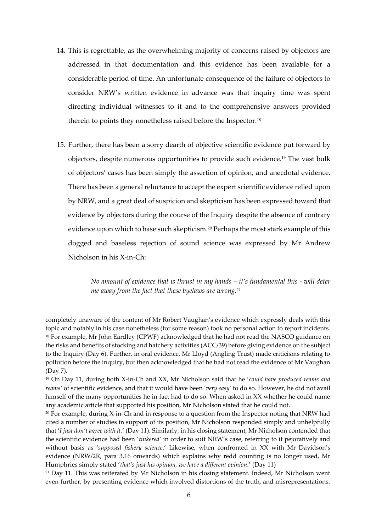- 14. This is regrettable, as the overwhelming majority of concerns raised by objectors are addressed in that documentation and this evidence has been available for a considerable period of time. An unfortunate consequence of the failure of objectors to consider NRW's written evidence in advance was that inquiry time was spent directing individual witnesses to it and to the comprehensive answers provided therein to points they nonetheless raised before the Inspector.<sup>18</sup>
- 15. Further, there has been a sorry dearth of objective scientific evidence put forward by objectors, despite numerous opportunities to provide such evidence. <sup>19</sup> The vast bulk of objectors' cases has been simply the assertion of opinion, and anecdotal evidence. There has been a general reluctance to accept the expert scientific evidence relied upon by NRW, and a great deal of suspicion and skepticism has been expressed toward that evidence by objectors during the course of the Inquiry despite the absence of contrary evidence upon which to base such skepticism. <sup>20</sup> Perhaps the most stark example of this dogged and baseless rejection of sound science was expressed by Mr Andrew Nicholson in his X-in-Ch:

*No amount of evidence that is thrust in my hands – it's fundamental this - will deter me away from the fact that these byelaws are wrong.<sup>21</sup>*

completely unaware of the content of Mr Robert Vaughan's evidence which expressly deals with this topic and notably in his case nonetheless (for some reason) took no personal action to report incidents. <sup>18</sup> For example, Mr John Eardley (CPWF) acknowledged that he had not read the NASCO guidance on the risks and benefits of stocking and hatchery activities (ACC/39) before giving evidence on the subject to the Inquiry (Day 6). Further, in oral evidence, Mr Lloyd (Angling Trust) made criticisms relating to pollution before the inquiry, but then acknowledged that he had not read the evidence of Mr Vaughan (Day 7).

<sup>19</sup> On Day 11, during both X-in-Ch and XX, Mr Nicholson said that he '*could have produced reams and reams'* of scientific evidence, and that it would have been '*very easy'* to do so. However, he did not avail himself of the many opportunities he in fact had to do so. When asked in XX whether he could name any academic article that supported his position, Mr Nicholson stated that he could not.

<sup>&</sup>lt;sup>20</sup> For example, during X-in-Ch and in response to a question from the Inspector noting that NRW had cited a number of studies in support of its position, Mr Nicholson responded simply and unhelpfully that '*I just don't agree with it.*' (Day 11). Similarly, in his closing statement, Mr Nicholson contended that the scientific evidence had been '*tinkered'* in order to suit NRW's case, referring to it pejoratively and without basis as '*supposed fishery science*.' Likewise, when confronted in XX with Mr Davidson's evidence (NRW/2R, para 3.16 onwards) which explains why redd counting is no longer used, Mr Humphries simply stated '*that's just his opinion, we have a different opinion.*' (Day 11)

<sup>&</sup>lt;sup>21</sup> Day 11. This was reiterated by Mr Nicholson in his closing statement. Indeed, Mr Nicholson went even further, by presenting evidence which involved distortions of the truth, and misrepresentations.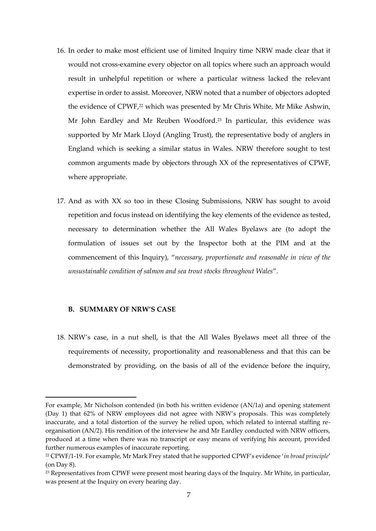- 16. In order to make most efficient use of limited Inquiry time NRW made clear that it would not cross-examine every objector on all topics where such an approach would result in unhelpful repetition or where a particular witness lacked the relevant expertise in order to assist. Moreover, NRW noted that a number of objectors adopted the evidence of CPWF, <sup>22</sup> which was presented by Mr Chris White, Mr Mike Ashwin, Mr John Eardley and Mr Reuben Woodford. <sup>23</sup> In particular, this evidence was supported by Mr Mark Lloyd (Angling Trust), the representative body of anglers in England which is seeking a similar status in Wales. NRW therefore sought to test common arguments made by objectors through XX of the representatives of CPWF, where appropriate.
- 17. And as with XX so too in these Closing Submissions, NRW has sought to avoid repetition and focus instead on identifying the key elements of the evidence as tested, necessary to determination whether the All Wales Byelaws are (to adopt the formulation of issues set out by the Inspector both at the PIM and at the commencement of this Inquiry), "*necessary, proportionate and reasonable in view of the unsustainable condition of salmon and sea trout stocks throughout Wales*".

# **B. SUMMARY OF NRW'S CASE**

**.** 

18. NRW's case, in a nut shell, is that the All Wales Byelaws meet all three of the requirements of necessity, proportionality and reasonableness and that this can be demonstrated by providing, on the basis of all of the evidence before the inquiry,

For example, Mr Nicholson contended (in both his written evidence (AN/1a) and opening statement (Day 1) that 62% of NRW employees did not agree with NRW's proposals. This was completely inaccurate, and a total distortion of the survey he relied upon, which related to internal staffing reorganisation (AN/2). His rendition of the interview he and Mr Eardley conducted with NRW officers, produced at a time when there was no transcript or easy means of verifying his account, provided further numerous examples of inaccurate reporting.

<sup>22</sup> CPWF/1-19. For example, Mr Mark Frey stated that he supported CPWF's evidence '*in broad principle*' (on Day 8).

<sup>&</sup>lt;sup>23</sup> Representatives from CPWF were present most hearing days of the Inquiry. Mr White, in particular, was present at the Inquiry on every hearing day.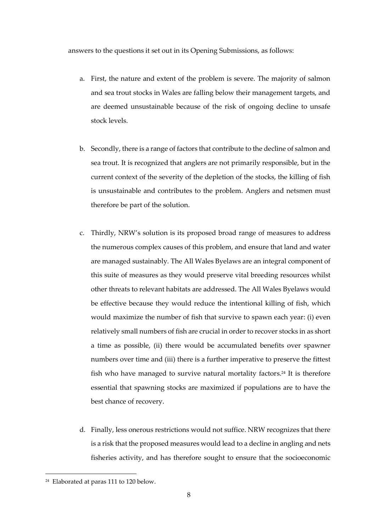answers to the questions it set out in its Opening Submissions, as follows:

- a. First, the nature and extent of the problem is severe. The majority of salmon and sea trout stocks in Wales are falling below their management targets, and are deemed unsustainable because of the risk of ongoing decline to unsafe stock levels.
- b. Secondly, there is a range of factors that contribute to the decline of salmon and sea trout. It is recognized that anglers are not primarily responsible, but in the current context of the severity of the depletion of the stocks, the killing of fish is unsustainable and contributes to the problem. Anglers and netsmen must therefore be part of the solution.
- c. Thirdly, NRW's solution is its proposed broad range of measures to address the numerous complex causes of this problem, and ensure that land and water are managed sustainably. The All Wales Byelaws are an integral component of this suite of measures as they would preserve vital breeding resources whilst other threats to relevant habitats are addressed. The All Wales Byelaws would be effective because they would reduce the intentional killing of fish, which would maximize the number of fish that survive to spawn each year: (i) even relatively small numbers of fish are crucial in order to recover stocks in as short a time as possible, (ii) there would be accumulated benefits over spawner numbers over time and (iii) there is a further imperative to preserve the fittest fish who have managed to survive natural mortality factors. <sup>24</sup> It is therefore essential that spawning stocks are maximized if populations are to have the best chance of recovery.
- d. Finally, less onerous restrictions would not suffice. NRW recognizes that there is a risk that the proposed measures would lead to a decline in angling and nets fisheries activity, and has therefore sought to ensure that the socioeconomic

<sup>24</sup> Elaborated at paras 111 to 120 below.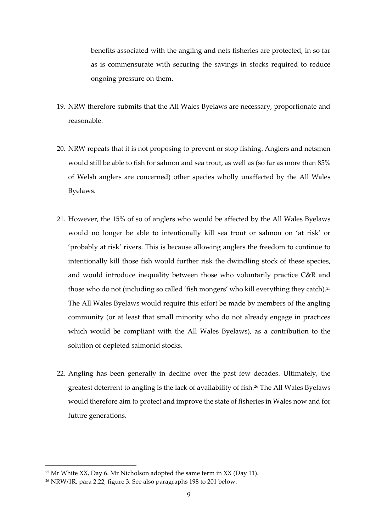benefits associated with the angling and nets fisheries are protected, in so far as is commensurate with securing the savings in stocks required to reduce ongoing pressure on them.

- 19. NRW therefore submits that the All Wales Byelaws are necessary, proportionate and reasonable.
- 20. NRW repeats that it is not proposing to prevent or stop fishing. Anglers and netsmen would still be able to fish for salmon and sea trout, as well as (so far as more than 85% of Welsh anglers are concerned) other species wholly unaffected by the All Wales Byelaws.
- 21. However, the 15% of so of anglers who would be affected by the All Wales Byelaws would no longer be able to intentionally kill sea trout or salmon on 'at risk' or 'probably at risk' rivers. This is because allowing anglers the freedom to continue to intentionally kill those fish would further risk the dwindling stock of these species, and would introduce inequality between those who voluntarily practice C&R and those who do not (including so called 'fish mongers' who kill everything they catch). 25 The All Wales Byelaws would require this effort be made by members of the angling community (or at least that small minority who do not already engage in practices which would be compliant with the All Wales Byelaws), as a contribution to the solution of depleted salmonid stocks.
- 22. Angling has been generally in decline over the past few decades. Ultimately, the greatest deterrent to angling is the lack of availability of fish.<sup>26</sup> The All Wales Byelaws would therefore aim to protect and improve the state of fisheries in Wales now and for future generations.

<sup>&</sup>lt;sup>25</sup> Mr White XX, Day 6. Mr Nicholson adopted the same term in XX (Day 11).

<sup>26</sup> NRW/1R, para 2.22, figure 3. See also paragraphs 198 to 201 below.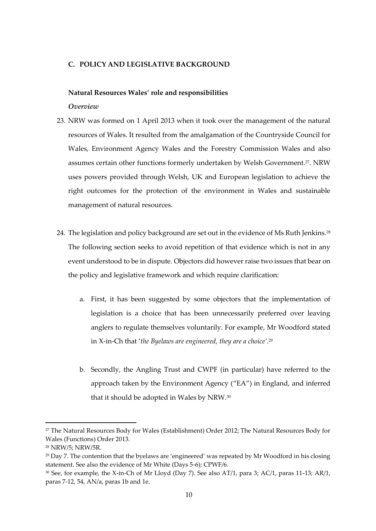# **C. POLICY AND LEGISLATIVE BACKGROUND**

#### **Natural Resources Wales' role and responsibilities**

## *Overview*

- 23. NRW was formed on 1 April 2013 when it took over the management of the natural resources of Wales. It resulted from the amalgamation of the Countryside Council for Wales, Environment Agency Wales and the Forestry Commission Wales and also assumes certain other functions formerly undertaken by Welsh Government.<sup>27</sup>. NRW uses powers provided through Welsh, UK and European legislation to achieve the right outcomes for the protection of the environment in Wales and sustainable management of natural resources.
- 24. The legislation and policy background are set out in the evidence of Ms Ruth Jenkins.<sup>28</sup> The following section seeks to avoid repetition of that evidence which is not in any event understood to be in dispute. Objectors did however raise two issues that bear on the policy and legislative framework and which require clarification:
	- a. First, it has been suggested by some objectors that the implementation of legislation is a choice that has been unnecessarily preferred over leaving anglers to regulate themselves voluntarily. For example, Mr Woodford stated in X-in-Ch that '*the Byelaws are engineered, they are a choice'*. 29
	- b. Secondly, the Angling Trust and CWPF (in particular) have referred to the approach taken by the Environment Agency ("EA") in England, and inferred that it should be adopted in Wales by NRW.<sup>30</sup>

<sup>&</sup>lt;sup>27</sup> The Natural Resources Body for Wales (Establishment) Order 2012; The Natural Resources Body for Wales (Functions) Order 2013.

<sup>28</sup> NRW/5; NRW/5R.

 $29$  Day 7. The contention that the byelaws are 'engineered' was repeated by Mr Woodford in his closing statement. See also the evidence of Mr White (Days 5-6); CPWF/6.

<sup>30</sup> See, for example, the X-in-Ch of Mr Lloyd (Day 7). See also AT/1, para 3; AC/1, paras 11-13; AR/1, paras 7-12, 54, AN/a, paras 1b and 1e.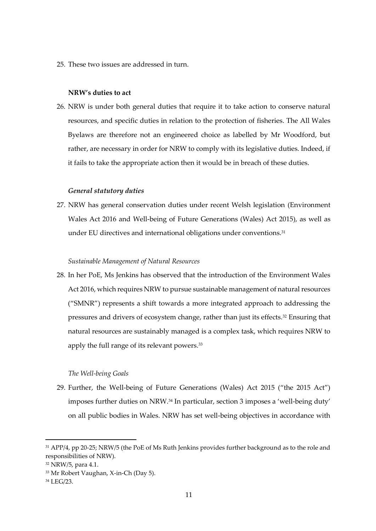25. These two issues are addressed in turn.

#### **NRW's duties to act**

26. NRW is under both general duties that require it to take action to conserve natural resources, and specific duties in relation to the protection of fisheries. The All Wales Byelaws are therefore not an engineered choice as labelled by Mr Woodford, but rather, are necessary in order for NRW to comply with its legislative duties. Indeed, if it fails to take the appropriate action then it would be in breach of these duties.

#### *General statutory duties*

27. NRW has general conservation duties under recent Welsh legislation (Environment Wales Act 2016 and Well-being of Future Generations (Wales) Act 2015), as well as under EU directives and international obligations under conventions.<sup>31</sup>

#### *Sustainable Management of Natural Resources*

28. In her PoE, Ms Jenkins has observed that the introduction of the Environment Wales Act 2016, which requires NRW to pursue sustainable management of natural resources ("SMNR") represents a shift towards a more integrated approach to addressing the pressures and drivers of ecosystem change, rather than just its effects.<sup>32</sup> Ensuring that natural resources are sustainably managed is a complex task, which requires NRW to apply the full range of its relevant powers.<sup>33</sup>

#### *The Well-being Goals*

29. Further, the Well-being of Future Generations (Wales) Act 2015 ("the 2015 Act") imposes further duties on NRW.<sup>34</sup> In particular, section 3 imposes a 'well-being duty' on all public bodies in Wales. NRW has set well-being objectives in accordance with

<sup>31</sup> APP/4, pp 20-25; NRW/5 (the PoE of Ms Ruth Jenkins provides further background as to the role and responsibilities of NRW).

<sup>32</sup> NRW/5, para 4.1.

<sup>33</sup> Mr Robert Vaughan, X-in-Ch (Day 5).

<sup>34</sup> LEG/23.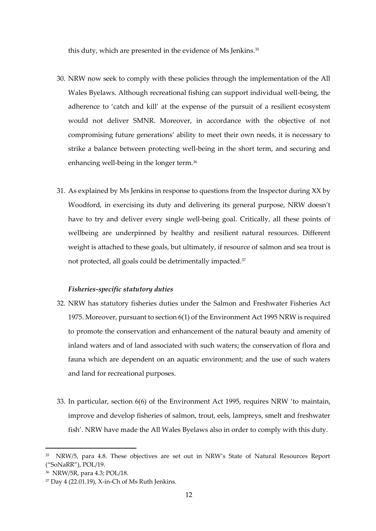this duty, which are presented in the evidence of Ms Jenkins.<sup>35</sup>

- 30. NRW now seek to comply with these policies through the implementation of the All Wales Byelaws. Although recreational fishing can support individual well-being, the adherence to 'catch and kill' at the expense of the pursuit of a resilient ecosystem would not deliver SMNR. Moreover, in accordance with the objective of not compromising future generations' ability to meet their own needs, it is necessary to strike a balance between protecting well-being in the short term, and securing and enhancing well-being in the longer term.<sup>36</sup>
- 31. As explained by Ms Jenkins in response to questions from the Inspector during XX by Woodford, in exercising its duty and delivering its general purpose, NRW doesn't have to try and deliver every single well-being goal. Critically, all these points of wellbeing are underpinned by healthy and resilient natural resources. Different weight is attached to these goals, but ultimately, if resource of salmon and sea trout is not protected, all goals could be detrimentally impacted.<sup>37</sup>

#### *Fisheries-specific statutory duties*

- 32. NRW has statutory fisheries duties under the Salmon and Freshwater Fisheries Act 1975. Moreover, pursuant to section 6(1) of the Environment Act 1995 NRW is required to promote the conservation and enhancement of the natural beauty and amenity of inland waters and of land associated with such waters; the conservation of flora and fauna which are dependent on an aquatic environment; and the use of such waters and land for recreational purposes.
- 33. In particular, section 6(6) of the Environment Act 1995, requires NRW 'to maintain, improve and develop fisheries of salmon, trout, eels, lampreys, smelt and freshwater fish'. NRW have made the All Wales Byelaws also in order to comply with this duty.

<sup>35</sup> NRW/5, para 4.8. These objectives are set out in NRW's State of Natural Resources Report ("SoNaRR"), POL/19.

<sup>36</sup> NRW/5R, para 4.3; POL/18.

<sup>37</sup> Day 4 (22.01.19), X-in-Ch of Ms Ruth Jenkins.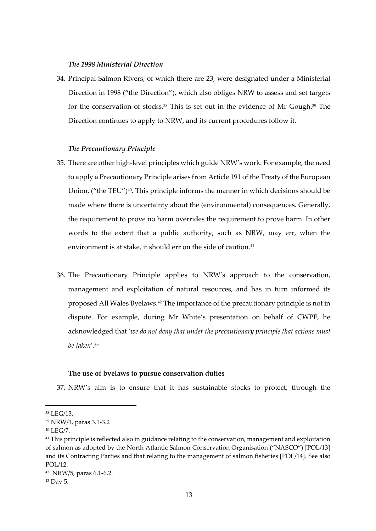#### *The 1998 Ministerial Direction*

34. Principal Salmon Rivers, of which there are 23, were designated under a Ministerial Direction in 1998 ("the Direction"), which also obliges NRW to assess and set targets for the conservation of stocks. <sup>38</sup> This is set out in the evidence of Mr Gough.<sup>39</sup> The Direction continues to apply to NRW, and its current procedures follow it.

# *The Precautionary Principle*

- 35. There are other high-level principles which guide NRW's work. For example, the need to apply a Precautionary Principle arises from Article 191 of the Treaty of the European Union, ("the TEU")<sup>40</sup>. This principle informs the manner in which decisions should be made where there is uncertainty about the (environmental) consequences. Generally, the requirement to prove no harm overrides the requirement to prove harm. In other words to the extent that a public authority, such as NRW, may err, when the environment is at stake, it should err on the side of caution.<sup>41</sup>
- 36. The Precautionary Principle applies to NRW's approach to the conservation, management and exploitation of natural resources, and has in turn informed its proposed All Wales Byelaws.<sup>42</sup> The importance of the precautionary principle is not in dispute. For example, during Mr White's presentation on behalf of CWPF, he acknowledged that '*we do not deny that under the precautionary principle that actions must be taken*'.<sup>43</sup>

#### **The use of byelaws to pursue conservation duties**

37. NRW's aim is to ensure that it has sustainable stocks to protect, through the

<sup>38</sup> LEG/13.

<sup>39</sup> NRW/1, paras 3.1-3.2

<sup>40</sup> LEG/7.

<sup>&</sup>lt;sup>41</sup> This principle is reflected also in guidance relating to the conservation, management and exploitation of salmon as adopted by the North Atlantic Salmon Conservation Organisation ("NASCO") [POL/13] and its Contracting Parties and that relating to the management of salmon fisheries [POL/14]. See also POL/12.

<sup>42</sup> NRW/5, paras 6.1-6.2.

<sup>43</sup> Day 5.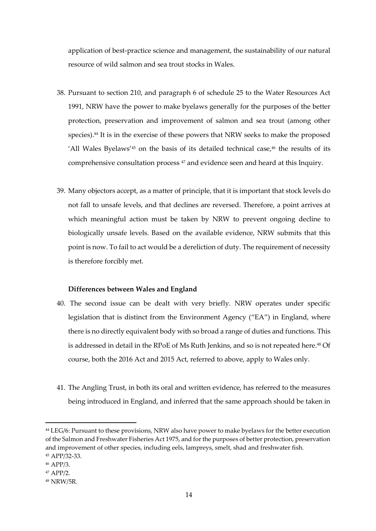application of best-practice science and management, the sustainability of our natural resource of wild salmon and sea trout stocks in Wales.

- 38. Pursuant to section 210, and paragraph 6 of schedule 25 to the Water Resources Act 1991, NRW have the power to make byelaws generally for the purposes of the better protection, preservation and improvement of salmon and sea trout (among other species).<sup>44</sup> It is in the exercise of these powers that NRW seeks to make the proposed 'All Wales Byelaws'<sup>45</sup> on the basis of its detailed technical case, $46$  the results of its comprehensive consultation process <sup>47</sup> and evidence seen and heard at this Inquiry.
- 39. Many objectors accept, as a matter of principle, that it is important that stock levels do not fall to unsafe levels, and that declines are reversed. Therefore, a point arrives at which meaningful action must be taken by NRW to prevent ongoing decline to biologically unsafe levels. Based on the available evidence, NRW submits that this point is now. To fail to act would be a dereliction of duty. The requirement of necessity is therefore forcibly met.

# **Differences between Wales and England**

- 40. The second issue can be dealt with very briefly. NRW operates under specific legislation that is distinct from the Environment Agency ("EA") in England, where there is no directly equivalent body with so broad a range of duties and functions. This is addressed in detail in the RPoE of Ms Ruth Jenkins, and so is not repeated here.<sup>48</sup> Of course, both the 2016 Act and 2015 Act, referred to above, apply to Wales only.
- 41. The Angling Trust, in both its oral and written evidence, has referred to the measures being introduced in England, and inferred that the same approach should be taken in

<sup>&</sup>lt;sup>44</sup> LEG/6: Pursuant to these provisions, NRW also have power to make byelaws for the better execution of the Salmon and Freshwater Fisheries Act 1975, and for the purposes of better protection, preservation and improvement of other species, including eels, lampreys, smelt, shad and freshwater fish. <sup>45</sup> APP/32-33.

<sup>46</sup> APP/3.

<sup>47</sup> APP/2.

<sup>48</sup> NRW/5R.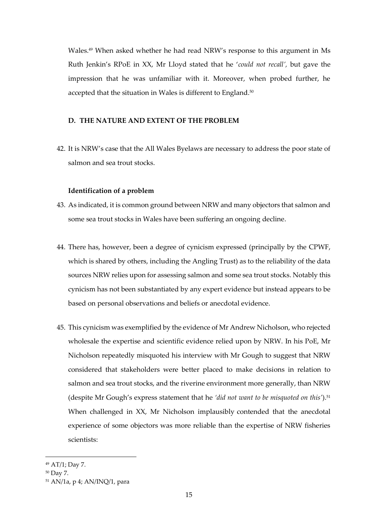Wales.<sup>49</sup> When asked whether he had read NRW's response to this argument in Ms Ruth Jenkin's RPoE in XX, Mr Lloyd stated that he '*could not recall',* but gave the impression that he was unfamiliar with it. Moreover, when probed further, he accepted that the situation in Wales is different to England.<sup>50</sup>

# **D. THE NATURE AND EXTENT OF THE PROBLEM**

42. It is NRW's case that the All Wales Byelaws are necessary to address the poor state of salmon and sea trout stocks.

# **Identification of a problem**

- 43. As indicated, it is common ground between NRW and many objectors that salmon and some sea trout stocks in Wales have been suffering an ongoing decline.
- 44. There has, however, been a degree of cynicism expressed (principally by the CPWF, which is shared by others, including the Angling Trust) as to the reliability of the data sources NRW relies upon for assessing salmon and some sea trout stocks. Notably this cynicism has not been substantiated by any expert evidence but instead appears to be based on personal observations and beliefs or anecdotal evidence.
- 45. This cynicism was exemplified by the evidence of Mr Andrew Nicholson, who rejected wholesale the expertise and scientific evidence relied upon by NRW. In his PoE, Mr Nicholson repeatedly misquoted his interview with Mr Gough to suggest that NRW considered that stakeholders were better placed to make decisions in relation to salmon and sea trout stocks, and the riverine environment more generally, than NRW (despite Mr Gough's express statement that he *'did not want to be misquoted on this'*).<sup>51</sup> When challenged in XX, Mr Nicholson implausibly contended that the anecdotal experience of some objectors was more reliable than the expertise of NRW fisheries scientists:

<sup>49</sup> AT/1; Day 7.

<sup>50</sup> Day 7.

<sup>51</sup> AN/1a, p 4; AN/INQ/1, para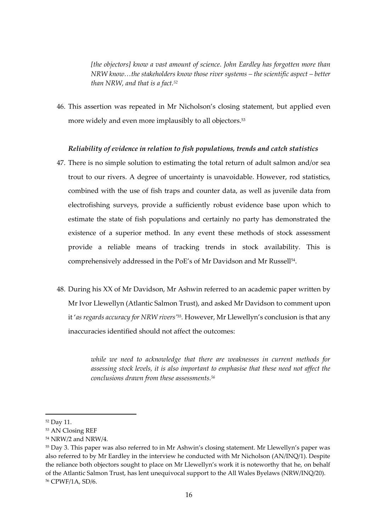*[the objectors] know a vast amount of science. John Eardley has forgotten more than NRW know…the stakeholders know those river systems – the scientific aspect – better than NRW, and that is a fact.<sup>52</sup>*

46. This assertion was repeated in Mr Nicholson's closing statement, but applied even more widely and even more implausibly to all objectors.<sup>53</sup>

# *Reliability of evidence in relation to fish populations, trends and catch statistics*

- 47. There is no simple solution to estimating the total return of adult salmon and/or sea trout to our rivers. A degree of uncertainty is unavoidable. However, rod statistics, combined with the use of fish traps and counter data, as well as juvenile data from electrofishing surveys, provide a sufficiently robust evidence base upon which to estimate the state of fish populations and certainly no party has demonstrated the existence of a superior method. In any event these methods of stock assessment provide a reliable means of tracking trends in stock availability. This is comprehensively addressed in the PoE's of Mr Davidson and Mr Russell<sup>54</sup> .
- 48. During his XX of Mr Davidson, Mr Ashwin referred to an academic paper written by Mr Ivor Llewellyn (Atlantic Salmon Trust), and asked Mr Davidson to comment upon it '*as regards accuracy for NRW rivers'*<sup>55</sup> *.* However, Mr Llewellyn's conclusion is that any inaccuracies identified should not affect the outcomes:

*while we need to acknowledge that there are weaknesses in current methods for assessing stock levels, it is also important to emphasise that these need not affect the conclusions drawn from these assessments.<sup>56</sup>*

<sup>52</sup> Day 11.

<sup>53</sup> AN Closing REF

<sup>54</sup> NRW/2 and NRW/4.

<sup>55</sup> Day 3. This paper was also referred to in Mr Ashwin's closing statement. Mr Llewellyn's paper was also referred to by Mr Eardley in the interview he conducted with Mr Nicholson (AN/INQ/1). Despite the reliance both objectors sought to place on Mr Llewellyn's work it is noteworthy that he, on behalf of the Atlantic Salmon Trust, has lent unequivocal support to the All Wales Byelaws (NRW/INQ/20). <sup>56</sup> CPWF/1A, SD/6.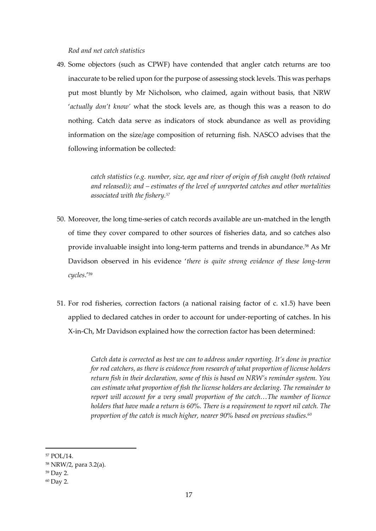*Rod and net catch statistics*

49. Some objectors (such as CPWF) have contended that angler catch returns are too inaccurate to be relied upon for the purpose of assessing stock levels. This was perhaps put most bluntly by Mr Nicholson, who claimed, again without basis, that NRW '*actually don't know'* what the stock levels are, as though this was a reason to do nothing. Catch data serve as indicators of stock abundance as well as providing information on the size/age composition of returning fish. NASCO advises that the following information be collected:

> *catch statistics (e.g. number, size, age and river of origin of fish caught (both retained and released)); and – estimates of the level of unreported catches and other mortalities associated with the fishery.<sup>57</sup>*

- 50. Moreover, the long time-series of catch records available are un-matched in the length of time they cover compared to other sources of fisheries data, and so catches also provide invaluable insight into long-term patterns and trends in abundance.<sup>58</sup> As Mr Davidson observed in his evidence '*there is quite strong evidence of these long-term cycles*.'<sup>59</sup>
- 51. For rod fisheries, correction factors (a national raising factor of c. x1.5) have been applied to declared catches in order to account for under-reporting of catches. In his X-in-Ch, Mr Davidson explained how the correction factor has been determined:

*Catch data is corrected as best we can to address under reporting. It's done in practice for rod catchers, as there is evidence from research of what proportion of license holders return fish in their declaration, some of this is based on NRW's reminder system. You can estimate what proportion of fish the license holders are declaring. The remainder to report will account for a very small proportion of the catch…The number of licence holders that have made a return is 60%. There is a requirement to report nil catch. The proportion of the catch is much higher, nearer 90% based on previous studies.<sup>60</sup>*

<sup>57</sup> POL/14.

<sup>58</sup> NRW/2, para 3.2(a).

<sup>59</sup> Day 2.

<sup>60</sup> Day 2.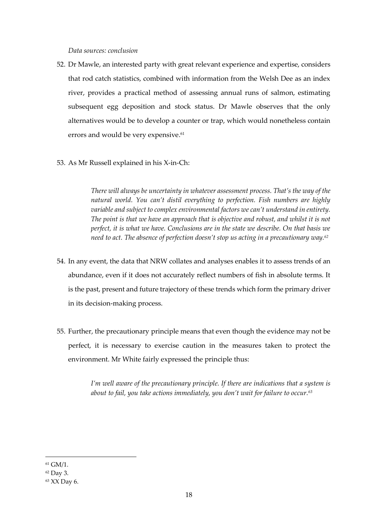#### *Data sources: conclusion*

- 52. Dr Mawle, an interested party with great relevant experience and expertise, considers that rod catch statistics, combined with information from the Welsh Dee as an index river, provides a practical method of assessing annual runs of salmon, estimating subsequent egg deposition and stock status. Dr Mawle observes that the only alternatives would be to develop a counter or trap, which would nonetheless contain errors and would be very expensive.<sup>61</sup>
- 53. As Mr Russell explained in his X-in-Ch:

*There will always be uncertainty in whatever assessment process. That's the way of the natural world. You can't distil everything to perfection. Fish numbers are highly variable and subject to complex environmental factors we can't understand in entirety. The point is that we have an approach that is objective and robust, and whilst it is not perfect, it is what we have. Conclusions are in the state we describe. On that basis we need to act. The absence of perfection doesn't stop us acting in a precautionary way.<sup>62</sup>*

- 54. In any event, the data that NRW collates and analyses enables it to assess trends of an abundance, even if it does not accurately reflect numbers of fish in absolute terms. It is the past, present and future trajectory of these trends which form the primary driver in its decision-making process.
- 55. Further, the precautionary principle means that even though the evidence may not be perfect, it is necessary to exercise caution in the measures taken to protect the environment. Mr White fairly expressed the principle thus:

*I'm well aware of the precautionary principle. If there are indications that a system is about to fail, you take actions immediately, you don't wait for failure to occur.<sup>63</sup>*

<sup>61</sup> GM/1.

<sup>62</sup> Day 3.

<sup>63</sup> XX Day 6.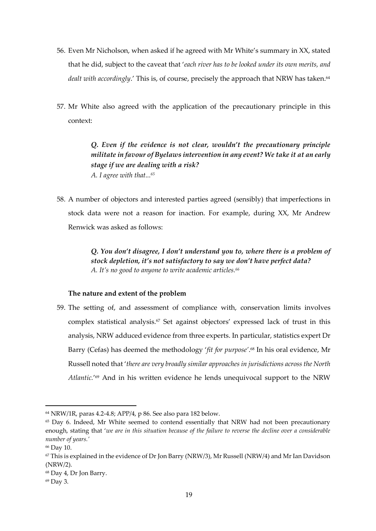- 56. Even Mr Nicholson, when asked if he agreed with Mr White's summary in XX, stated that he did, subject to the caveat that '*each river has to be looked under its own merits, and*  dealt with accordingly.' This is, of course, precisely the approach that NRW has taken.<sup>64</sup>
- 57. Mr White also agreed with the application of the precautionary principle in this context:

*Q. Even if the evidence is not clear, wouldn't the precautionary principle militate in favour of Byelaws intervention in any event? We take it at an early stage if we are dealing with a risk? A. I agree with that... 65*

58. A number of objectors and interested parties agreed (sensibly) that imperfections in stock data were not a reason for inaction. For example, during XX, Mr Andrew Renwick was asked as follows:

> *Q. You don't disagree, I don't understand you to, where there is a problem of stock depletion, it's not satisfactory to say we don't have perfect data? A. It's no good to anyone to write academic articles.<sup>66</sup>*

# **The nature and extent of the problem**

59. The setting of, and assessment of compliance with, conservation limits involves complex statistical analysis.<sup>67</sup> Set against objectors' expressed lack of trust in this analysis, NRW adduced evidence from three experts. In particular, statistics expert Dr Barry (Cefas) has deemed the methodology '*fit for purpose'*. <sup>68</sup> In his oral evidence, Mr Russell noted that '*there are very broadly similar approaches in jurisdictions across the North Atlantic.*' <sup>69</sup> And in his written evidence he lends unequivocal support to the NRW

<sup>64</sup> NRW/1R, paras 4.2-4.8; APP/4, p 86. See also para 182 below.

<sup>&</sup>lt;sup>65</sup> Day 6. Indeed, Mr White seemed to contend essentially that NRW had not been precautionary enough, stating that '*we are in this situation because of the failure to reverse the decline over a considerable number of years.'*

<sup>66</sup> Day 10.

 $67$  This is explained in the evidence of Dr Jon Barry (NRW/3), Mr Russell (NRW/4) and Mr Ian Davidson (NRW/2).

<sup>68</sup> Day 4, Dr Jon Barry.

<sup>69</sup> Day 3.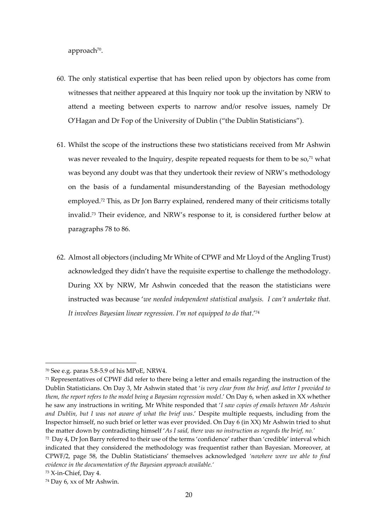approach<sup>70</sup>.

- 60. The only statistical expertise that has been relied upon by objectors has come from witnesses that neither appeared at this Inquiry nor took up the invitation by NRW to attend a meeting between experts to narrow and/or resolve issues, namely Dr O'Hagan and Dr Fop of the University of Dublin ("the Dublin Statisticians").
- 61. Whilst the scope of the instructions these two statisticians received from Mr Ashwin was never revealed to the Inquiry, despite repeated requests for them to be so,<sup>71</sup> what was beyond any doubt was that they undertook their review of NRW's methodology on the basis of a fundamental misunderstanding of the Bayesian methodology employed.<sup>72</sup> This, as Dr Jon Barry explained, rendered many of their criticisms totally invalid.<sup>73</sup> Their evidence, and NRW's response to it, is considered further below at paragraphs 78 to 86.
- 62. Almost all objectors (including Mr White of CPWF and Mr Lloyd of the Angling Trust) acknowledged they didn't have the requisite expertise to challenge the methodology. During XX by NRW, Mr Ashwin conceded that the reason the statisticians were instructed was because '*we needed independent statistical analysis. I can't undertake that. It involves Bayesian linear regression. I'm not equipped to do that*.'<sup>74</sup>

<sup>70</sup> See e.g. paras 5.8-5.9 of his MPoE, NRW4.

<sup>71</sup> Representatives of CPWF did refer to there being a letter and emails regarding the instruction of the Dublin Statisticians. On Day 3, Mr Ashwin stated that '*is very clear from the brief, and letter I provided to them, the report refers to the model being a Bayesian regression model*.' On Day 6, when asked in XX whether he saw any instructions in writing, Mr White responded that '*I saw copies of emails between Mr Ashwin and Dublin, but I was not aware of what the brief was*.' Despite multiple requests, including from the Inspector himself, no such brief or letter was ever provided. On Day 6 (in XX) Mr Ashwin tried to shut the matter down by contradicting himself '*As I said, there was no instruction as regards the brief, no.'*

<sup>72</sup> Day 4, Dr Jon Barry referred to their use of the terms 'confidence' rather than 'credible' interval which indicated that they considered the methodology was frequentist rather than Bayesian. Moreover, at CPWF/2, page 58, the Dublin Statisticians' themselves acknowledged *'nowhere were we able to find evidence in the documentation of the Bayesian approach available.'*

<sup>73</sup> X-in-Chief, Day 4.

<sup>74</sup> Day 6, xx of Mr Ashwin.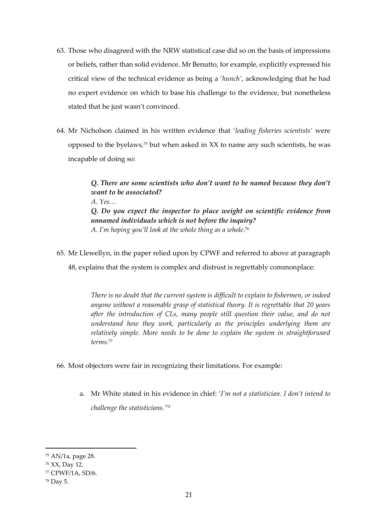- 63. Those who disagreed with the NRW statistical case did so on the basis of impressions or beliefs, rather than solid evidence. Mr Benutto, for example, explicitly expressed his critical view of the technical evidence as being a '*hunch'*, acknowledging that he had no expert evidence on which to base his challenge to the evidence, but nonetheless stated that he just wasn't convinced.
- 64. Mr Nicholson claimed in his written evidence that '*leading fisheries scientists'* were opposed to the byelaws,<sup>75</sup> but when asked in XX to name any such scientists, he was incapable of doing so:

*Q. There are some scientists who don't want to be named because they don't want to be associated? A. Yes… Q. Do you expect the inspector to place weight on scientific evidence from unnamed individuals which is not before the inquiry? A. I'm hoping you'll look at the whole thing as a whole*. 76

65. Mr Llewellyn, in the paper relied upon by CPWF and referred to above at paragraph 48, explains that the system is complex and distrust is regrettably commonplace:

> *There is no doubt that the current system is difficult to explain to fishermen, or indeed anyone without a reasonable grasp of statistical theory. It is regrettable that 20 years after the introduction of CLs, many people still question their value, and do not understand how they work, particularly as the principles underlying them are relatively simple. More needs to be done to explain the system in straightforward terms.*<sup>77</sup>

- 66. Most objectors were fair in recognizing their limitations. For example:
	- a. Mr White stated in his evidence in chief: '*I'm not a statistician. I don't intend to challenge the statisticians.' 78*

<sup>75</sup> AN/1a, page 28.

<sup>76</sup> XX, Day 12.

<sup>77</sup> CPWF/1A, SD/6.

<sup>78</sup> Day 5.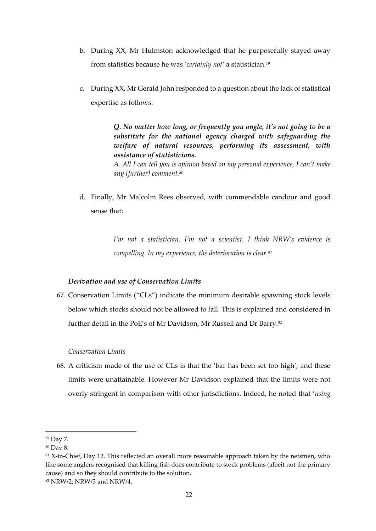- b. During XX, Mr Hulmston acknowledged that he purposefully stayed away from statistics because he was '*certainly not'* a statistician.<sup>79</sup>
- c. During XX, Mr Gerald John responded to a question about the lack of statistical expertise as follows:

*Q. No matter how long, or frequently you angle, it's not going to be a substitute for the national agency charged with safeguarding the welfare of natural resources, performing its assessment, with assistance of statisticians. A. All I can tell you is opinion based on my personal experience, I can't make* 

d. Finally, Mr Malcolm Rees observed, with commendable candour and good sense that:

> *I'm not a statistician. I'm not a scientist. I think NRW's evidence is compelling. In my experience, the deterioration is clear.<sup>81</sup>*

# *Derivation and use of Conservation Limits*

*any [further] comment.<sup>80</sup>*

67. Conservation Limits ("CLs") indicate the minimum desirable spawning stock levels below which stocks should not be allowed to fall. This is explained and considered in further detail in the PoE's of Mr Davidson, Mr Russell and Dr Barry.<sup>82</sup>

# *Conservation Limits*

68. A criticism made of the use of CLs is that the 'bar has been set too high', and these limits were unattainable. However Mr Davidson explained that the limits were not overly stringent in comparison with other jurisdictions. Indeed, he noted that '*using* 

<sup>79</sup> Day 7.

<sup>80</sup> Day 8.

<sup>&</sup>lt;sup>81</sup> X-in-Chief, Day 12. This reflected an overall more reasonable approach taken by the netsmen, who like some anglers recognised that killing fish does contribute to stock problems (albeit not the primary cause) and so they should contribute to the solution.

<sup>82</sup> NRW/2; NRW/3 and NRW/4.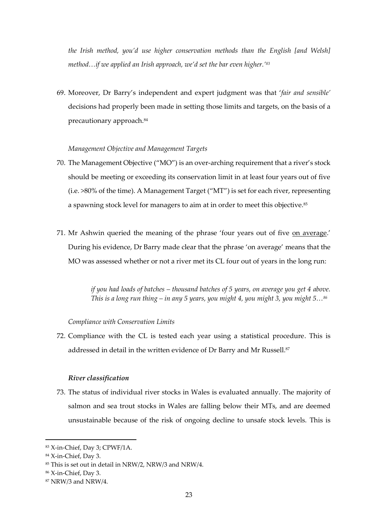*the Irish method, you'd use higher conservation methods than the English [and Welsh] method…if we applied an Irish approach, we'd set the bar even higher.'<sup>83</sup>*

69. Moreover, Dr Barry's independent and expert judgment was that '*fair and sensible'*  decisions had properly been made in setting those limits and targets, on the basis of a precautionary approach.<sup>84</sup>

# *Management Objective and Management Targets*

- 70. The Management Objective ("MO") is an over-arching requirement that a river's stock should be meeting or exceeding its conservation limit in at least four years out of five (i.e. >80% of the time). A Management Target ("MT") is set for each river, representing a spawning stock level for managers to aim at in order to meet this objective.<sup>85</sup>
- 71. Mr Ashwin queried the meaning of the phrase 'four years out of five on average.' During his evidence, Dr Barry made clear that the phrase 'on average' means that the MO was assessed whether or not a river met its CL four out of years in the long run:

*if you had loads of batches – thousand batches of 5 years, on average you get 4 above. This is a long run thing – in any 5 years, you might 4, you might 3, you might 5…<sup>86</sup>*

#### *Compliance with Conservation Limits*

72. Compliance with the CL is tested each year using a statistical procedure. This is addressed in detail in the written evidence of Dr Barry and Mr Russell.<sup>87</sup>

#### *River classification*

73. The status of individual river stocks in Wales is evaluated annually. The majority of salmon and sea trout stocks in Wales are falling below their MTs, and are deemed unsustainable because of the risk of ongoing decline to unsafe stock levels. This is

<sup>83</sup> X-in-Chief, Day 3; CPWF/1A.

<sup>84</sup> X-in-Chief, Day 3.

<sup>85</sup> This is set out in detail in NRW/2, NRW/3 and NRW/4.

<sup>86</sup> X-in-Chief, Day 3.

<sup>87</sup> NRW/3 and NRW/4.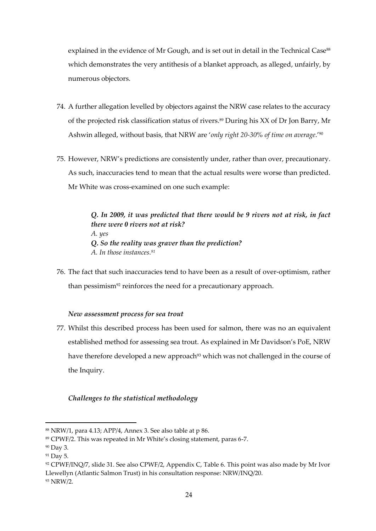explained in the evidence of Mr Gough, and is set out in detail in the Technical Case<sup>88</sup> which demonstrates the very antithesis of a blanket approach, as alleged, unfairly, by numerous objectors.

- 74. A further allegation levelled by objectors against the NRW case relates to the accuracy of the projected risk classification status of rivers.<sup>89</sup> During his XX of Dr Jon Barry, Mr Ashwin alleged, without basis, that NRW are '*only right 20-30% of time on average*.'<sup>90</sup>
- 75. However, NRW's predictions are consistently under, rather than over, precautionary. As such, inaccuracies tend to mean that the actual results were worse than predicted. Mr White was cross-examined on one such example:

*Q. In 2009, it was predicted that there would be 9 rivers not at risk, in fact there were 0 rivers not at risk? A. yes Q. So the reality was graver than the prediction? A. In those instances.<sup>91</sup>*

76. The fact that such inaccuracies tend to have been as a result of over-optimism, rather than pessimism<sup>92</sup> reinforces the need for a precautionary approach.

# *New assessment process for sea trout*

77. Whilst this described process has been used for salmon, there was no an equivalent established method for assessing sea trout. As explained in Mr Davidson's PoE, NRW have therefore developed a new approach<sup>93</sup> which was not challenged in the course of the Inquiry.

# *Challenges to the statistical methodology*

<sup>88</sup> NRW/1, para 4.13; APP/4, Annex 3. See also table at p 86.

<sup>89</sup> CPWF/2. This was repeated in Mr White's closing statement, paras 6-7.

<sup>90</sup> Day 3.

<sup>&</sup>lt;sup>91</sup> Day 5.

<sup>92</sup> CPWF/INQ/7, slide 31. See also CPWF/2, Appendix C, Table 6. This point was also made by Mr Ivor Llewellyn (Atlantic Salmon Trust) in his consultation response: NRW/INQ/20.

<sup>93</sup> NRW/2.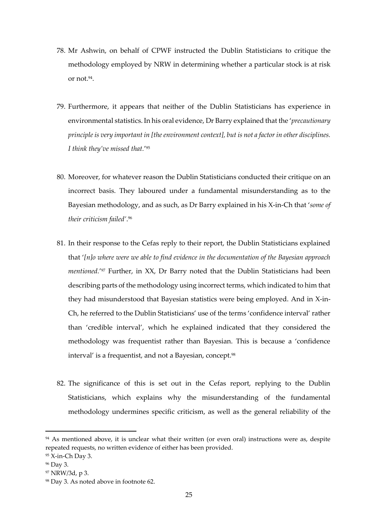- 78. Mr Ashwin, on behalf of CPWF instructed the Dublin Statisticians to critique the methodology employed by NRW in determining whether a particular stock is at risk or not.<sup>94</sup>.
- 79. Furthermore, it appears that neither of the Dublin Statisticians has experience in environmental statistics. In his oral evidence, Dr Barry explained that the '*precautionary principle is very important in [the environment context], but is not a factor in other disciplines. I think they've missed that.*' 95
- 80. Moreover, for whatever reason the Dublin Statisticians conducted their critique on an incorrect basis. They laboured under a fundamental misunderstanding as to the Bayesian methodology, and as such, as Dr Barry explained in his X-in-Ch that '*some of their criticism failed'*. 96
- 81. In their response to the Cefas reply to their report, the Dublin Statisticians explained that '*[n]o where were we able to find evidence in the documentation of the Bayesian approach mentioned.*' <sup>97</sup> Further, in XX, Dr Barry noted that the Dublin Statisticians had been describing parts of the methodology using incorrect terms, which indicated to him that they had misunderstood that Bayesian statistics were being employed. And in X-in-Ch, he referred to the Dublin Statisticians' use of the terms 'confidence interval' rather than 'credible interval', which he explained indicated that they considered the methodology was frequentist rather than Bayesian. This is because a 'confidence interval' is a frequentist, and not a Bayesian, concept.<sup>98</sup>
- 82. The significance of this is set out in the Cefas report, replying to the Dublin Statisticians, which explains why the misunderstanding of the fundamental methodology undermines specific criticism, as well as the general reliability of the

<sup>&</sup>lt;sup>94</sup> As mentioned above, it is unclear what their written (or even oral) instructions were as, despite repeated requests, no written evidence of either has been provided.

<sup>95</sup> X-in-Ch Day 3.

<sup>96</sup> Day 3.

<sup>97</sup> NRW/3d, p 3.

<sup>98</sup> Day 3. As noted above in footnote 62.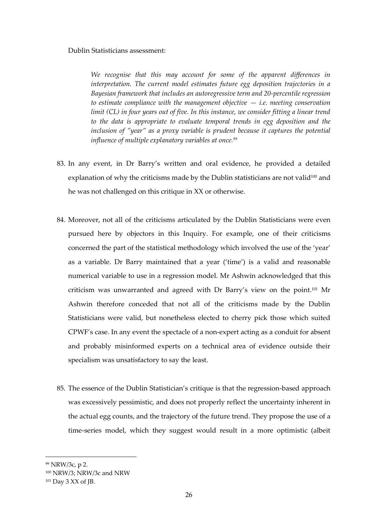#### Dublin Statisticians assessment:

*We recognise that this may account for some of the apparent differences in interpretation. The current model estimates future egg deposition trajectories in a Bayesian framework that includes an autoregressive term and 20-percentile regression to estimate compliance with the management objective — i.e. meeting conservation limit (CL) in four years out of five. In this instance, we consider fitting a linear trend to the data is appropriate to evaluate temporal trends in egg deposition and the inclusion of "year" as a proxy variable is prudent because it captures the potential influence of multiple explanatory variables at once.<sup>99</sup>*

- 83. In any event, in Dr Barry's written and oral evidence, he provided a detailed explanation of why the criticisms made by the Dublin statisticians are not valid $100$  and he was not challenged on this critique in XX or otherwise.
- 84. Moreover, not all of the criticisms articulated by the Dublin Statisticians were even pursued here by objectors in this Inquiry. For example, one of their criticisms concerned the part of the statistical methodology which involved the use of the 'year' as a variable. Dr Barry maintained that a year ('time') is a valid and reasonable numerical variable to use in a regression model. Mr Ashwin acknowledged that this criticism was unwarranted and agreed with Dr Barry's view on the point. <sup>101</sup> Mr Ashwin therefore conceded that not all of the criticisms made by the Dublin Statisticians were valid, but nonetheless elected to cherry pick those which suited CPWF's case. In any event the spectacle of a non-expert acting as a conduit for absent and probably misinformed experts on a technical area of evidence outside their specialism was unsatisfactory to say the least.
- 85. The essence of the Dublin Statistician's critique is that the regression-based approach was excessively pessimistic, and does not properly reflect the uncertainty inherent in the actual egg counts, and the trajectory of the future trend. They propose the use of a time-series model, which they suggest would result in a more optimistic (albeit

<sup>99</sup> NRW/3c, p 2.

<sup>100</sup> NRW/3; NRW/3c and NRW

<sup>&</sup>lt;sup>101</sup> Day 3 XX of JB.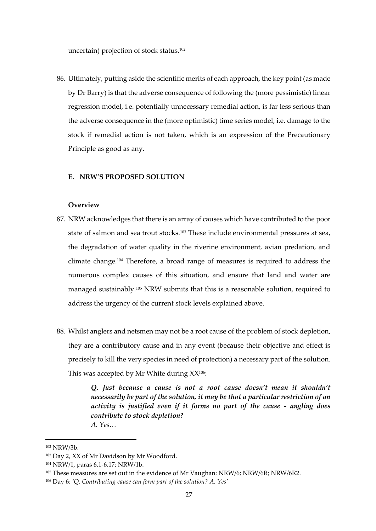uncertain) projection of stock status.<sup>102</sup>

86. Ultimately, putting aside the scientific merits of each approach, the key point (as made by Dr Barry) is that the adverse consequence of following the (more pessimistic) linear regression model, i.e. potentially unnecessary remedial action, is far less serious than the adverse consequence in the (more optimistic) time series model, i.e. damage to the stock if remedial action is not taken, which is an expression of the Precautionary Principle as good as any.

# **E. NRW'S PROPOSED SOLUTION**

# **Overview**

- 87. NRW acknowledges that there is an array of causes which have contributed to the poor state of salmon and sea trout stocks.<sup>103</sup> These include environmental pressures at sea, the degradation of water quality in the riverine environment, avian predation, and climate change.<sup>104</sup> Therefore, a broad range of measures is required to address the numerous complex causes of this situation, and ensure that land and water are managed sustainably.<sup>105</sup> NRW submits that this is a reasonable solution, required to address the urgency of the current stock levels explained above.
- 88. Whilst anglers and netsmen may not be a root cause of the problem of stock depletion, they are a contributory cause and in any event (because their objective and effect is precisely to kill the very species in need of protection) a necessary part of the solution. This was accepted by Mr White during XX<sup>106</sup>:

*Q. Just because a cause is not a root cause doesn't mean it shouldn't necessarily be part of the solution, it may be that a particular restriction of an activity is justified even if it forms no part of the cause - angling does contribute to stock depletion? A. Yes…*

<sup>102</sup> NRW/3b.

<sup>103</sup> Day 2, XX of Mr Davidson by Mr Woodford.

<sup>104</sup> NRW/1, paras 6.1-6.17; NRW/1b.

<sup>&</sup>lt;sup>105</sup> These measures are set out in the evidence of Mr Vaughan: NRW/6; NRW/6R; NRW/6R2.

<sup>106</sup> Day 6: *'Q. Contributing cause can form part of the solution? A. Yes'*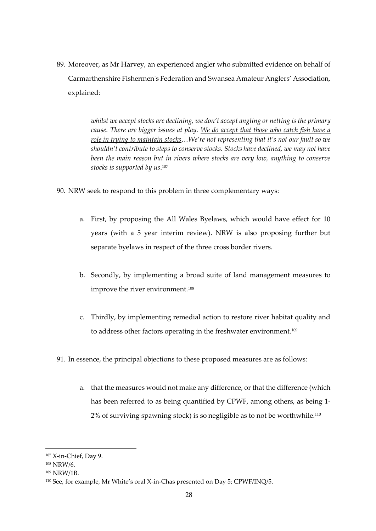89. Moreover, as Mr Harvey, an experienced angler who submitted evidence on behalf of Carmarthenshire Fishermen's Federation and Swansea Amateur Anglers' Association, explained:

> *whilst we accept stocks are declining, we don't accept angling or netting is the primary cause. There are bigger issues at play. We do accept that those who catch fish have a role in trying to maintain stocks*…*We're not representing that it's not our fault so we shouldn't contribute to steps to conserve stocks. Stocks have declined, we may not have been the main reason but in rivers where stocks are very low, anything to conserve stocks is supported by us*. 107

- 90. NRW seek to respond to this problem in three complementary ways:
	- a. First, by proposing the All Wales Byelaws, which would have effect for 10 years (with a 5 year interim review). NRW is also proposing further but separate byelaws in respect of the three cross border rivers.
	- b. Secondly, by implementing a broad suite of land management measures to improve the river environment.<sup>108</sup>
	- c. Thirdly, by implementing remedial action to restore river habitat quality and to address other factors operating in the freshwater environment.<sup>109</sup>
- 91. In essence, the principal objections to these proposed measures are as follows:
	- a. that the measures would not make any difference, or that the difference (which has been referred to as being quantified by CPWF, among others, as being 1- 2% of surviving spawning stock) is so negligible as to not be worthwhile.<sup>110</sup>

<sup>107</sup> X-in-Chief, Day 9.

<sup>108</sup> NRW/6.

<sup>109</sup> NRW/1B.

<sup>110</sup> See, for example, Mr White's oral X-in-Chas presented on Day 5; CPWF/INQ/5.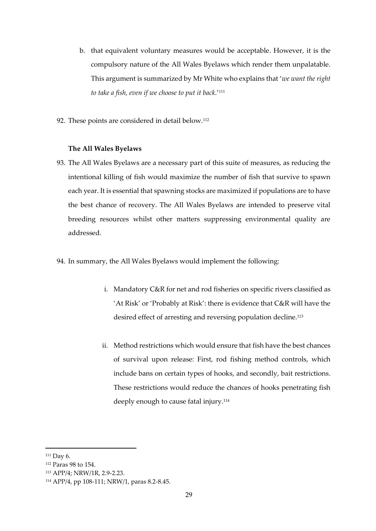- b. that equivalent voluntary measures would be acceptable. However, it is the compulsory nature of the All Wales Byelaws which render them unpalatable. This argument is summarized by Mr White who explains that '*we want the right to take a fish, even if we choose to put it back.*' 111
- 92. These points are considered in detail below.<sup>112</sup>

# **The All Wales Byelaws**

- 93. The All Wales Byelaws are a necessary part of this suite of measures, as reducing the intentional killing of fish would maximize the number of fish that survive to spawn each year. It is essential that spawning stocks are maximized if populations are to have the best chance of recovery. The All Wales Byelaws are intended to preserve vital breeding resources whilst other matters suppressing environmental quality are addressed.
- 94. In summary, the All Wales Byelaws would implement the following:
	- i. Mandatory C&R for net and rod fisheries on specific rivers classified as 'At Risk' or 'Probably at Risk': there is evidence that C&R will have the desired effect of arresting and reversing population decline.<sup>113</sup>
	- ii. Method restrictions which would ensure that fish have the best chances of survival upon release: First, rod fishing method controls, which include bans on certain types of hooks, and secondly, bait restrictions. These restrictions would reduce the chances of hooks penetrating fish deeply enough to cause fatal injury. 114

<sup>111</sup> Day 6.

<sup>112</sup> Paras 98 to 154.

<sup>113</sup> APP/4; NRW/1R, 2.9-2.23.

<sup>114</sup> APP/4, pp 108-111; NRW/1, paras 8.2-8.45.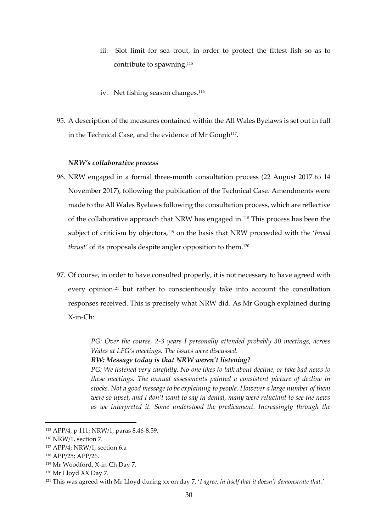- iii. Slot limit for sea trout, in order to protect the fittest fish so as to contribute to spawning. 115
- iv. Net fishing season changes.<sup>116</sup>
- 95. A description of the measures contained within the All Wales Byelaws is set out in full in the Technical Case, and the evidence of Mr Gough $^{117}$ .

# *NRW's collaborative process*

- 96. NRW engaged in a formal three-month consultation process (22 August 2017 to 14 November 2017), following the publication of the Technical Case. Amendments were made to the All Wales Byelaws following the consultation process, which are reflective of the collaborative approach that NRW has engaged in.<sup>118</sup> This process has been the subject of criticism by objectors,<sup>119</sup> on the basis that NRW proceeded with the '*broad thrust'* of its proposals despite angler opposition to them.<sup>120</sup>
- 97. Of course, in order to have consulted properly, it is not necessary to have agreed with every opinion<sup>121</sup> but rather to conscientiously take into account the consultation responses received. This is precisely what NRW did. As Mr Gough explained during X-in-Ch:

*PG: Over the course, 2-3 years I personally attended probably 30 meetings, across Wales at LFG's meetings. The issues were discussed.*

*RW: Message today is that NRW weren't listening?*

*PG: We listened very carefully. No-one likes to talk about decline, or take bad news to these meetings. The annual assessments painted a consistent picture of decline in stocks. Not a good message to be explaining to people. However a large number of them were so upset, and I don't want to say in denial, many were reluctant to see the news as we interpreted it. Some understood the predicament. Increasingly through the* 

<sup>115</sup> APP/4, p 111; NRW/1, paras 8.46-8.59.

<sup>116</sup> NRW/1, section 7.

<sup>117</sup> APP/4; NRW/1, section 6.a

<sup>118</sup> APP/25; APP/26.

<sup>119</sup> Mr Woodford, X-in-Ch Day 7.

<sup>120</sup> Mr Lloyd XX Day 7.

<sup>121</sup> This was agreed with Mr Lloyd during xx on day 7, '*I agree, in itself that it doesn't demonstrate that.'*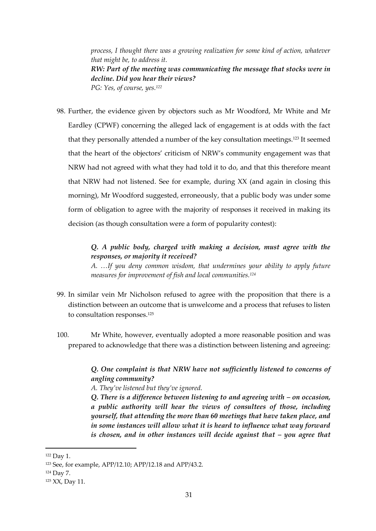*process, I thought there was a growing realization for some kind of action, whatever that might be, to address it. RW: Part of the meeting was communicating the message that stocks were in decline. Did you hear their views? PG: Yes, of course, yes.<sup>122</sup>*

98. Further, the evidence given by objectors such as Mr Woodford, Mr White and Mr Eardley (CPWF) concerning the alleged lack of engagement is at odds with the fact that they personally attended a number of the key consultation meetings.<sup>123</sup> It seemed that the heart of the objectors' criticism of NRW's community engagement was that NRW had not agreed with what they had told it to do, and that this therefore meant that NRW had not listened. See for example, during XX (and again in closing this morning), Mr Woodford suggested, erroneously, that a public body was under some form of obligation to agree with the majority of responses it received in making its decision (as though consultation were a form of popularity contest):

> *Q. A public body, charged with making a decision, must agree with the responses, or majority it received?*

> *A. …If you deny common wisdom, that undermines your ability to apply future measures for improvement of fish and local communities.<sup>124</sup>*

- 99. In similar vein Mr Nicholson refused to agree with the proposition that there is a distinction between an outcome that is unwelcome and a process that refuses to listen to consultation responses. 125
- 100. Mr White, however, eventually adopted a more reasonable position and was prepared to acknowledge that there was a distinction between listening and agreeing:

*Q. One complaint is that NRW have not sufficiently listened to concerns of angling community?* 

*A. They've listened but they've ignored.*

*Q. There is a difference between listening to and agreeing with – on occasion, a public authority will hear the views of consultees of those, including yourself, that attending the more than 60 meetings that have taken place, and in some instances will allow what it is heard to influence what way forward is chosen, and in other instances will decide against that – you agree that* 

<sup>122</sup> Day 1.

<sup>123</sup> See, for example, APP/12.10; APP/12.18 and APP/43.2.

<sup>124</sup> Day 7.

<sup>125</sup> XX, Day 11.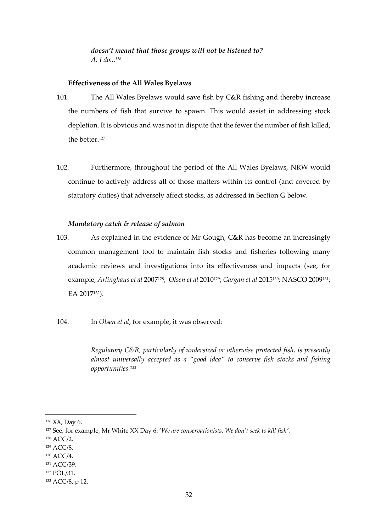# *doesn't meant that those groups will not be listened to? A. I do... 126*

# **Effectiveness of the All Wales Byelaws**

- 101. The All Wales Byelaws would save fish by C&R fishing and thereby increase the numbers of fish that survive to spawn. This would assist in addressing stock depletion. It is obvious and was not in dispute that the fewer the number of fish killed, the better. 127
- 102. Furthermore, throughout the period of the All Wales Byelaws, NRW would continue to actively address all of those matters within its control (and covered by statutory duties) that adversely affect stocks, as addressed in Section G below.

# *Mandatory catch & release of salmon*

- 103. As explained in the evidence of Mr Gough, C&R has become an increasingly common management tool to maintain fish stocks and fisheries following many academic reviews and investigations into its effectiveness and impacts (see, for example, *Arlinghaus et al* 2007128; *Olsen et al* 2010129; *Gargan et al* 2015130; NASCO 2009131; EA 2017132).
- 104. In *Olsen et al*, for example, it was observed:

*Regulatory C&R, particularly of undersized or otherwise protected fish, is presently*  almost universally accepted as a "good idea" to conserve fish stocks and fishing *opportunities.<sup>133</sup>*

<sup>126</sup> XX, Day 6.

<sup>127</sup> See, for example, Mr White XX Day 6: '*We are conservationists. We don't seek to kill fish'.*

<sup>128</sup> ACC/2.

<sup>129</sup> ACC/8.

<sup>130</sup> ACC/4.

<sup>131</sup> ACC/39.

<sup>132</sup> POL/31.

<sup>133</sup> ACC/8, p 12.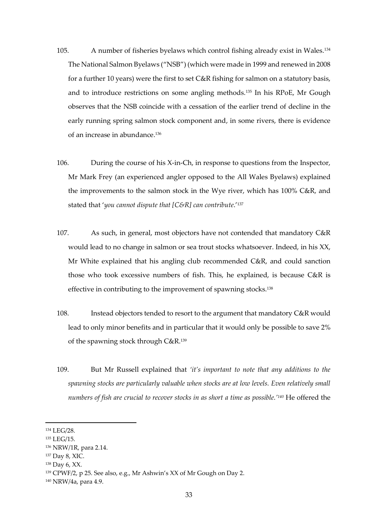- 105. A number of fisheries byelaws which control fishing already exist in Wales.<sup>134</sup> The National Salmon Byelaws ("NSB") (which were made in 1999 and renewed in 2008 for a further 10 years) were the first to set C&R fishing for salmon on a statutory basis, and to introduce restrictions on some angling methods.<sup>135</sup> In his RPoE, Mr Gough observes that the NSB coincide with a cessation of the earlier trend of decline in the early running spring salmon stock component and, in some rivers, there is evidence of an increase in abundance.<sup>136</sup>
- 106. During the course of his X-in-Ch, in response to questions from the Inspector, Mr Mark Frey (an experienced angler opposed to the All Wales Byelaws) explained the improvements to the salmon stock in the Wye river, which has 100% C&R, and stated that '*you cannot dispute that [C&R] can contribute*.' 137
- 107. As such, in general, most objectors have not contended that mandatory C&R would lead to no change in salmon or sea trout stocks whatsoever. Indeed, in his XX, Mr White explained that his angling club recommended C&R, and could sanction those who took excessive numbers of fish. This, he explained, is because C&R is effective in contributing to the improvement of spawning stocks.<sup>138</sup>
- 108. Instead objectors tended to resort to the argument that mandatory C&R would lead to only minor benefits and in particular that it would only be possible to save 2% of the spawning stock through C&R. 139
- 109. But Mr Russell explained that *'it's important to note that any additions to the spawning stocks are particularly valuable when stocks are at low levels. Even relatively small numbers of fish are crucial to recover stocks in as short a time as possible.'<sup>140</sup>* He offered the

<sup>134</sup> LEG/28.

<sup>135</sup> LEG/15.

<sup>136</sup> NRW/1R, para 2.14.

<sup>137</sup> Day 8, XIC.

<sup>138</sup> Day 6, XX.

<sup>139</sup> CPWF/2, p 25. See also, e.g., Mr Ashwin's XX of Mr Gough on Day 2.

<sup>140</sup> NRW/4a, para 4.9.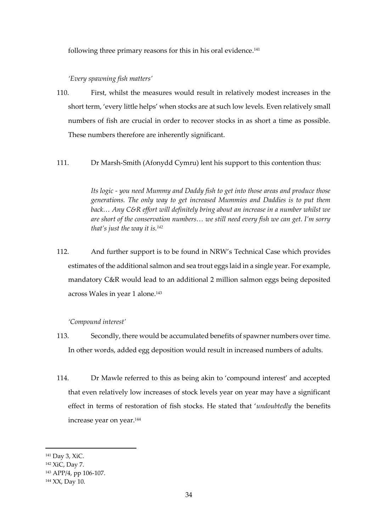following three primary reasons for this in his oral evidence. 141

# *'Every spawning fish matters'*

- 110. First, whilst the measures would result in relatively modest increases in the short term, 'every little helps' when stocks are at such low levels. Even relatively small numbers of fish are crucial in order to recover stocks in as short a time as possible. These numbers therefore are inherently significant.
- 111. Dr Marsh-Smith (Afonydd Cymru) lent his support to this contention thus:

*Its logic - you need Mummy and Daddy fish to get into those areas and produce those generations. The only way to get increased Mummies and Daddies is to put them back… Any C&R effort will definitely bring about an increase in a number whilst we are short of the conservation numbers… we still need every fish we can get. I'm sorry that's just the way it is.<sup>142</sup>*

112. And further support is to be found in NRW's Technical Case which provides estimates of the additional salmon and sea trout eggs laid in a single year. For example, mandatory C&R would lead to an additional 2 million salmon eggs being deposited across Wales in year 1 alone. 143

# *'Compound interest'*

- 113. Secondly, there would be accumulated benefits of spawner numbers over time. In other words, added egg deposition would result in increased numbers of adults.
- 114. Dr Mawle referred to this as being akin to 'compound interest' and accepted that even relatively low increases of stock levels year on year may have a significant effect in terms of restoration of fish stocks. He stated that '*undoubtedly* the benefits increase year on year.<sup>144</sup>

<sup>141</sup> Day 3, XiC.

<sup>142</sup> XiC, Day 7.

<sup>143</sup> APP/4, pp 106-107.

<sup>144</sup> XX, Day 10.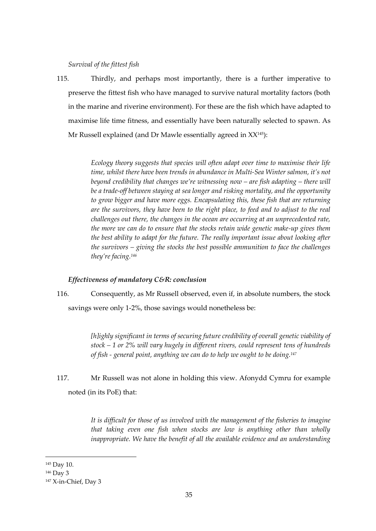*Survival of the fittest fish*

115. Thirdly, and perhaps most importantly, there is a further imperative to preserve the fittest fish who have managed to survive natural mortality factors (both in the marine and riverine environment). For these are the fish which have adapted to maximise life time fitness, and essentially have been naturally selected to spawn. As Mr Russell explained (and Dr Mawle essentially agreed in XX145):

> *Ecology theory suggests that species will often adapt over time to maximise their life time, whilst there have been trends in abundance in Multi-Sea Winter salmon, it's not beyond credibility that changes we're witnessing now – are fish adapting – there will be a trade-off between staying at sea longer and risking mortality, and the opportunity to grow bigger and have more eggs. Encapsulating this, these fish that are returning are the survivors, they have been to the right place, to feed and to adjust to the real challenges out there, the changes in the ocean are occurring at an unprecedented rate, the more we can do to ensure that the stocks retain wide genetic make-up gives them the best ability to adapt for the future. The really important issue about looking after the survivors – giving the stocks the best possible ammunition to face the challenges they're facing.<sup>146</sup>*

# *Effectiveness of mandatory C&R: conclusion*

116. Consequently, as Mr Russell observed, even if, in absolute numbers, the stock savings were only 1-2%, those savings would nonetheless be:

> *[h]ighly significant in terms of securing future credibility of overall genetic viability of stock – 1 or 2% will vary hugely in different rivers, could represent tens of hundreds of fish - general point, anything we can do to help we ought to be doing.<sup>147</sup>*

117. Mr Russell was not alone in holding this view. Afonydd Cymru for example noted (in its PoE) that:

> *It is difficult for those of us involved with the management of the fisheries to imagine that taking even one fish when stocks are low is anything other than wholly inappropriate. We have the benefit of all the available evidence and an understanding*

<sup>145</sup> Day 10.

<sup>146</sup> Day 3

<sup>147</sup> X-in-Chief, Day 3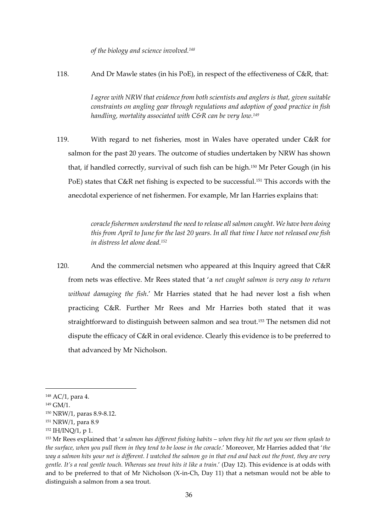*of the biology and science involved.<sup>148</sup>*

118. And Dr Mawle states (in his PoE), in respect of the effectiveness of C&R, that:

*I agree with NRW that evidence from both scientists and anglers is that, given suitable constraints on angling gear through regulations and adoption of good practice in fish handling, mortality associated with C&R can be very low.<sup>149</sup>*

119. With regard to net fisheries, most in Wales have operated under C&R for salmon for the past 20 years. The outcome of studies undertaken by NRW has shown that, if handled correctly, survival of such fish can be high.<sup>150</sup> Mr Peter Gough (in his PoE) states that C&R net fishing is expected to be successful.<sup>151</sup> This accords with the anecdotal experience of net fishermen. For example, Mr Ian Harries explains that:

> *coracle fishermen understand the need to release all salmon caught. We have been doing this from April to June for the last 20 years. In all that time I have not released one fish in distress let alone dead.<sup>152</sup>*

120. And the commercial netsmen who appeared at this Inquiry agreed that C&R from nets was effective. Mr Rees stated that 'a *net caught salmon is very easy to return without damaging the fish*.' Mr Harries stated that he had never lost a fish when practicing C&R. Further Mr Rees and Mr Harries both stated that it was straightforward to distinguish between salmon and sea trout.<sup>153</sup> The netsmen did not dispute the efficacy of C&R in oral evidence. Clearly this evidence is to be preferred to that advanced by Mr Nicholson.

<sup>148</sup> AC/1, para 4.

<sup>149</sup> GM/1.

<sup>150</sup> NRW/1, paras 8.9-8.12.

<sup>151</sup> NRW/1, para 8.9

<sup>152</sup> IH/INQ/1, p 1.

<sup>153</sup> Mr Rees explained that '*a salmon has different fishing habits – when they hit the net you see them splash to the surface, when you pull them in they tend to be loose in the coracle*.' Moreover, Mr Harries added that '*the way a salmon hits your net is different. I watched the salmon go in that end and back out the front, they are very gentle. It's a real gentle touch. Whereas sea trout hits it like a train.*' (Day 12). This evidence is at odds with and to be preferred to that of Mr Nicholson (X-in-Ch, Day 11) that a netsman would not be able to distinguish a salmon from a sea trout.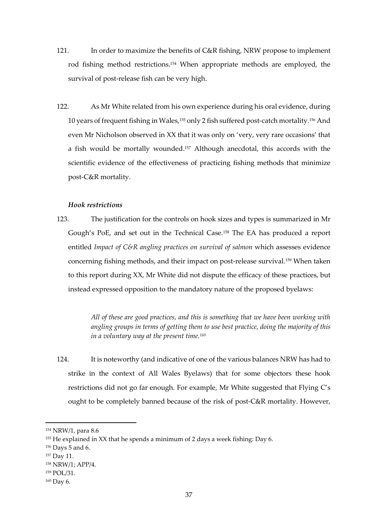- 121. In order to maximize the benefits of C&R fishing, NRW propose to implement rod fishing method restrictions. <sup>154</sup> When appropriate methods are employed, the survival of post-release fish can be very high.
- 122. As Mr White related from his own experience during his oral evidence, during 10 years of frequent fishing in Wales,<sup>155</sup> only 2 fish suffered post-catch mortality. <sup>156</sup> And even Mr Nicholson observed in XX that it was only on 'very, very rare occasions' that a fish would be mortally wounded.<sup>157</sup> Although anecdotal, this accords with the scientific evidence of the effectiveness of practicing fishing methods that minimize post-C&R mortality.

#### *Hook restrictions*

123. The justification for the controls on hook sizes and types is summarized in Mr Gough's PoE, and set out in the Technical Case.<sup>158</sup> The EA has produced a report entitled *Impact of C&R angling practices on survival of salmon* which assesses evidence concerning fishing methods, and their impact on post-release survival. <sup>159</sup> When taken to this report during XX, Mr White did not dispute the efficacy of these practices, but instead expressed opposition to the mandatory nature of the proposed byelaws:

> *All of these are good practices, and this is something that we have been working with angling groups in terms of getting them to use best practice, doing the majority of this in a voluntary way at the present time.<sup>160</sup>*

124. It is noteworthy (and indicative of one of the various balances NRW has had to strike in the context of All Wales Byelaws) that for some objectors these hook restrictions did not go far enough. For example, Mr White suggested that Flying C's ought to be completely banned because of the risk of post-C&R mortality. However,

<sup>154</sup> NRW/1, para 8.6

<sup>155</sup> He explained in XX that he spends a minimum of 2 days a week fishing: Day 6.

<sup>156</sup> Days 5 and 6.

<sup>157</sup> Day 11.

<sup>158</sup> NRW/1; APP/4.

<sup>159</sup> POL/31.

<sup>160</sup> Day 6.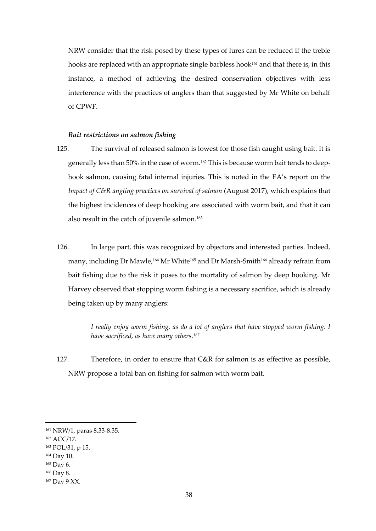NRW consider that the risk posed by these types of lures can be reduced if the treble hooks are replaced with an appropriate single barbless hook<sup>161</sup> and that there is, in this instance, a method of achieving the desired conservation objectives with less interference with the practices of anglers than that suggested by Mr White on behalf of CPWF.

# *Bait restrictions on salmon fishing*

- 125. The survival of released salmon is lowest for those fish caught using bait. It is generally less than 50% in the case of worm.<sup>162</sup> This is because worm bait tends to deephook salmon, causing fatal internal injuries. This is noted in the EA's report on the *Impact of C&R angling practices on survival of salmon* (August 2017), which explains that the highest incidences of deep hooking are associated with worm bait, and that it can also result in the catch of juvenile salmon. 163
- 126. In large part, this was recognized by objectors and interested parties. Indeed, many, including Dr Mawle,<sup>164</sup> Mr White<sup>165</sup> and Dr Marsh-Smith<sup>166</sup> already refrain from bait fishing due to the risk it poses to the mortality of salmon by deep hooking. Mr Harvey observed that stopping worm fishing is a necessary sacrifice, which is already being taken up by many anglers:

*I really enjoy worm fishing, as do a lot of anglers that have stopped worm fishing. I have sacrificed, as have many others.<sup>167</sup>*

127. Therefore, in order to ensure that C&R for salmon is as effective as possible, NRW propose a total ban on fishing for salmon with worm bait.

<sup>161</sup> NRW/1, paras 8.33-8.35.

<sup>162</sup> ACC/17.

<sup>163</sup> POL/31, p 15.

<sup>164</sup> Day 10.

<sup>165</sup> Day 6.

<sup>166</sup> Day 8.

<sup>167</sup> Day 9 XX.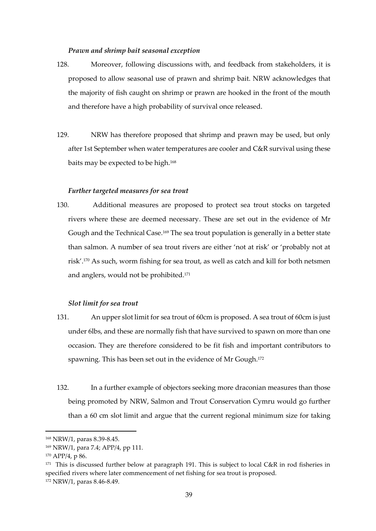#### *Prawn and shrimp bait seasonal exception*

- 128. Moreover, following discussions with, and feedback from stakeholders, it is proposed to allow seasonal use of prawn and shrimp bait. NRW acknowledges that the majority of fish caught on shrimp or prawn are hooked in the front of the mouth and therefore have a high probability of survival once released.
- 129. NRW has therefore proposed that shrimp and prawn may be used, but only after 1st September when water temperatures are cooler and C&R survival using these baits may be expected to be high.<sup>168</sup>

#### *Further targeted measures for sea trout*

130. Additional measures are proposed to protect sea trout stocks on targeted rivers where these are deemed necessary. These are set out in the evidence of Mr Gough and the Technical Case.<sup>169</sup> The sea trout population is generally in a better state than salmon. A number of sea trout rivers are either 'not at risk' or 'probably not at risk'.<sup>170</sup> As such, worm fishing for sea trout, as well as catch and kill for both netsmen and anglers, would not be prohibited.<sup>171</sup>

#### *Slot limit for sea trout*

- 131. An upper slot limit for sea trout of 60cm is proposed. A sea trout of 60cm is just under 6lbs, and these are normally fish that have survived to spawn on more than one occasion. They are therefore considered to be fit fish and important contributors to spawning. This has been set out in the evidence of Mr Gough.<sup>172</sup>
- 132. In a further example of objectors seeking more draconian measures than those being promoted by NRW, Salmon and Trout Conservation Cymru would go further than a 60 cm slot limit and argue that the current regional minimum size for taking

<sup>168</sup> NRW/1, paras 8.39-8.45.

<sup>169</sup> NRW/1, para 7.4; APP/4, pp 111.

<sup>170</sup> APP/4, p 86.

<sup>171</sup> This is discussed further below at paragraph 191. This is subject to local C&R in rod fisheries in specified rivers where later commencement of net fishing for sea trout is proposed. <sup>172</sup> NRW/1, paras 8.46-8.49.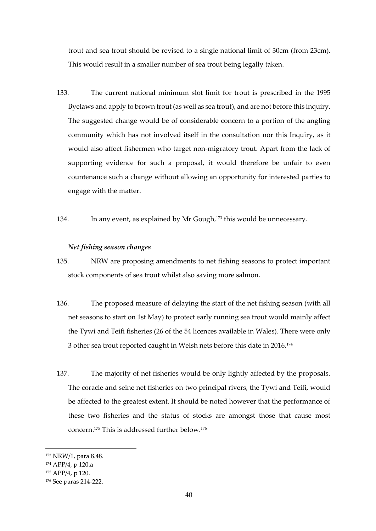trout and sea trout should be revised to a single national limit of 30cm (from 23cm). This would result in a smaller number of sea trout being legally taken.

- 133. The current national minimum slot limit for trout is prescribed in the 1995 Byelaws and apply to brown trout (as well as sea trout), and are not before this inquiry. The suggested change would be of considerable concern to a portion of the angling community which has not involved itself in the consultation nor this Inquiry, as it would also affect fishermen who target non-migratory trout. Apart from the lack of supporting evidence for such a proposal, it would therefore be unfair to even countenance such a change without allowing an opportunity for interested parties to engage with the matter.
- 134. In any event, as explained by Mr Gough, <sup>173</sup> this would be unnecessary.

#### *Net fishing season changes*

- 135. NRW are proposing amendments to net fishing seasons to protect important stock components of sea trout whilst also saving more salmon.
- 136. The proposed measure of delaying the start of the net fishing season (with all net seasons to start on 1st May) to protect early running sea trout would mainly affect the Tywi and Teifi fisheries (26 of the 54 licences available in Wales). There were only 3 other sea trout reported caught in Welsh nets before this date in 2016.<sup>174</sup>
- 137. The majority of net fisheries would be only lightly affected by the proposals. The coracle and seine net fisheries on two principal rivers, the Tywi and Teifi, would be affected to the greatest extent. It should be noted however that the performance of these two fisheries and the status of stocks are amongst those that cause most concern.<sup>175</sup> This is addressed further below.<sup>176</sup>

<sup>173</sup> NRW/1, para 8.48.

<sup>174</sup> APP/4, p 120.a

<sup>175</sup> APP/4, p 120.

<sup>176</sup> See paras 214-222.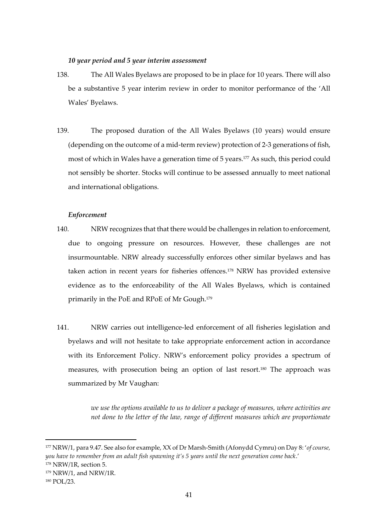# *10 year period and 5 year interim assessment*

- 138. The All Wales Byelaws are proposed to be in place for 10 years. There will also be a substantive 5 year interim review in order to monitor performance of the 'All Wales' Byelaws.
- 139. The proposed duration of the All Wales Byelaws (10 years) would ensure (depending on the outcome of a mid-term review) protection of 2-3 generations of fish, most of which in Wales have a generation time of 5 years.<sup>177</sup> As such, this period could not sensibly be shorter. Stocks will continue to be assessed annually to meet national and international obligations.

#### *Enforcement*

- 140. NRW recognizes that that there would be challenges in relation to enforcement, due to ongoing pressure on resources. However, these challenges are not insurmountable. NRW already successfully enforces other similar byelaws and has taken action in recent years for fisheries offences.<sup>178</sup> NRW has provided extensive evidence as to the enforceability of the All Wales Byelaws, which is contained primarily in the PoE and RPoE of Mr Gough.<sup>179</sup>
- 141. NRW carries out intelligence-led enforcement of all fisheries legislation and byelaws and will not hesitate to take appropriate enforcement action in accordance with its Enforcement Policy. NRW's enforcement policy provides a spectrum of measures, with prosecution being an option of last resort.<sup>180</sup> The approach was summarized by Mr Vaughan:

*we use the options available to us to deliver a package of measures, where activities are not done to the letter of the law, range of different measures which are proportionate* 

<sup>177</sup> NRW/1, para 9.47. See also for example, XX of Dr Marsh-Smith (Afonydd Cymru) on Day 8: '*of course, you have to remember from an adult fish spawning it's 5 years until the next generation come back*.' <sup>178</sup> NRW/1R, section 5.

<sup>179</sup> NRW/1, and NRW/1R.

<sup>180</sup> POL/23.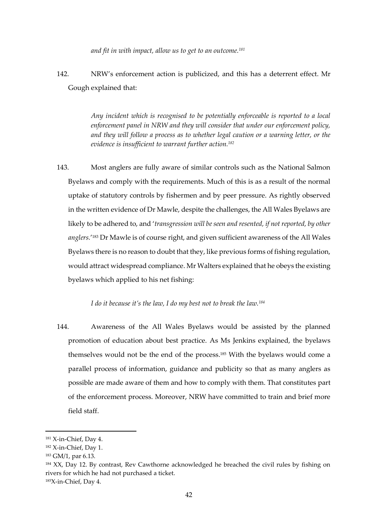*and fit in with impact, allow us to get to an outcome.<sup>181</sup>*

142. NRW's enforcement action is publicized, and this has a deterrent effect. Mr Gough explained that:

> *Any incident which is recognised to be potentially enforceable is reported to a local enforcement panel in NRW and they will consider that under our enforcement policy, and they will follow a process as to whether legal caution or a warning letter, or the evidence is insufficient to warrant further action.<sup>182</sup>*

143. Most anglers are fully aware of similar controls such as the National Salmon Byelaws and comply with the requirements. Much of this is as a result of the normal uptake of statutory controls by fishermen and by peer pressure. As rightly observed in the written evidence of Dr Mawle, despite the challenges, the All Wales Byelaws are likely to be adhered to, and '*transgression will be seen and resented, if not reported, by other anglers.*' <sup>183</sup> Dr Mawle is of course right, and given sufficient awareness of the All Wales Byelaws there is no reason to doubt that they, like previous forms of fishing regulation, would attract widespread compliance. Mr Walters explained that he obeys the existing byelaws which applied to his net fishing:

*I do it because it's the law, I do my best not to break the law.<sup>184</sup>*

144. Awareness of the All Wales Byelaws would be assisted by the planned promotion of education about best practice. As Ms Jenkins explained, the byelaws themselves would not be the end of the process.<sup>185</sup> With the byelaws would come a parallel process of information, guidance and publicity so that as many anglers as possible are made aware of them and how to comply with them. That constitutes part of the enforcement process. Moreover, NRW have committed to train and brief more field staff.

<sup>&</sup>lt;sup>181</sup> X-in-Chief, Day 4.

<sup>182</sup> X-in-Chief, Day 1.

<sup>183</sup> GM/1, par 6.13.

<sup>&</sup>lt;sup>184</sup> XX, Day 12. By contrast, Rev Cawthorne acknowledged he breached the civil rules by fishing on rivers for which he had not purchased a ticket. 185X-in-Chief, Day 4.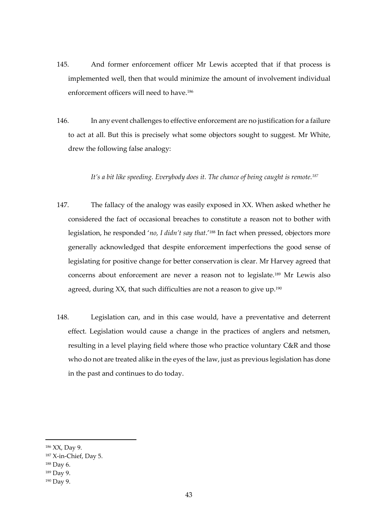- 145. And former enforcement officer Mr Lewis accepted that if that process is implemented well, then that would minimize the amount of involvement individual enforcement officers will need to have.<sup>186</sup>
- 146. In any event challenges to effective enforcement are no justification for a failure to act at all. But this is precisely what some objectors sought to suggest. Mr White, drew the following false analogy:

*It's a bit like speeding. Everybody does it. The chance of being caught is remote.<sup>187</sup>*

- 147. The fallacy of the analogy was easily exposed in XX. When asked whether he considered the fact of occasional breaches to constitute a reason not to bother with legislation, he responded '*no, I didn't say that*.'<sup>188</sup> In fact when pressed, objectors more generally acknowledged that despite enforcement imperfections the good sense of legislating for positive change for better conservation is clear. Mr Harvey agreed that concerns about enforcement are never a reason not to legislate.<sup>189</sup> Mr Lewis also agreed, during XX, that such difficulties are not a reason to give up.<sup>190</sup>
- 148. Legislation can, and in this case would, have a preventative and deterrent effect. Legislation would cause a change in the practices of anglers and netsmen, resulting in a level playing field where those who practice voluntary C&R and those who do not are treated alike in the eyes of the law, just as previous legislation has done in the past and continues to do today.

<sup>186</sup> XX, Day 9.

<sup>187</sup> X-in-Chief, Day 5.

<sup>188</sup> Day 6.

<sup>189</sup> Day 9.

<sup>190</sup> Day 9.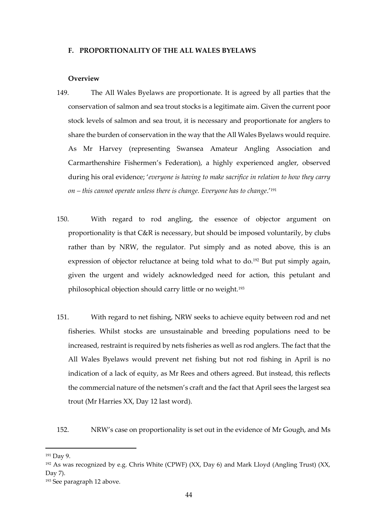#### **F. PROPORTIONALITY OF THE ALL WALES BYELAWS**

#### **Overview**

- 149. The All Wales Byelaws are proportionate. It is agreed by all parties that the conservation of salmon and sea trout stocks is a legitimate aim. Given the current poor stock levels of salmon and sea trout, it is necessary and proportionate for anglers to share the burden of conservation in the way that the All Wales Byelaws would require. As Mr Harvey (representing Swansea Amateur Angling Association and Carmarthenshire Fishermen's Federation), a highly experienced angler, observed during his oral evidence; '*everyone is having to make sacrifice in relation to how they carry on – this cannot operate unless there is change. Everyone has to change*.'<sup>191</sup>
- 150. With regard to rod angling, the essence of objector argument on proportionality is that C&R is necessary, but should be imposed voluntarily, by clubs rather than by NRW, the regulator. Put simply and as noted above, this is an expression of objector reluctance at being told what to do.<sup>192</sup> But put simply again, given the urgent and widely acknowledged need for action, this petulant and philosophical objection should carry little or no weight.<sup>193</sup>
- 151. With regard to net fishing, NRW seeks to achieve equity between rod and net fisheries. Whilst stocks are unsustainable and breeding populations need to be increased, restraint is required by nets fisheries as well as rod anglers. The fact that the All Wales Byelaws would prevent net fishing but not rod fishing in April is no indication of a lack of equity, as Mr Rees and others agreed. But instead, this reflects the commercial nature of the netsmen's craft and the fact that April sees the largest sea trout (Mr Harries XX, Day 12 last word).

152. NRW's case on proportionality is set out in the evidence of Mr Gough, and Ms

<sup>191</sup> Day 9.

<sup>&</sup>lt;sup>192</sup> As was recognized by e.g. Chris White (CPWF) (XX, Day 6) and Mark Lloyd (Angling Trust) (XX, Day 7).

<sup>193</sup> See paragraph 12 above.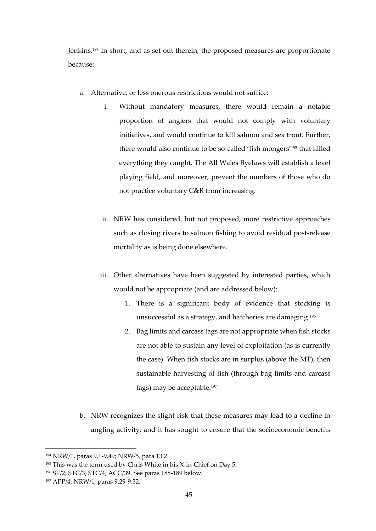Jenkins.<sup>194</sup> In short, and as set out therein, the proposed measures are proportionate because:

- a. Alternative, or less onerous restrictions would not suffice:
	- i. Without mandatory measures, there would remain a notable proportion of anglers that would not comply with voluntary initiatives, and would continue to kill salmon and sea trout. Further, there would also continue to be so-called 'fish mongers'<sup>195</sup> that killed everything they caught. The All Wales Byelaws will establish a level playing field, and moreover, prevent the numbers of those who do not practice voluntary C&R from increasing.
	- ii. NRW has considered, but not proposed, more restrictive approaches such as closing rivers to salmon fishing to avoid residual post-release mortality as is being done elsewhere.
	- iii. Other alternatives have been suggested by interested parties, which would not be appropriate (and are addressed below):
		- 1. There is a significant body of evidence that stocking is unsuccessful as a strategy, and hatcheries are damaging.<sup>196</sup>
		- 2. Bag limits and carcass tags are not appropriate when fish stocks are not able to sustain any level of exploitation (as is currently the case). When fish stocks are in surplus (above the MT), then sustainable harvesting of fish (through bag limits and carcass tags) may be acceptable.<sup>197</sup>
- b. NRW recognizes the slight risk that these measures may lead to a decline in angling activity, and it has sought to ensure that the socioeconomic benefits

<sup>194</sup> NRW/1, paras 9.1-9.49; NRW/5, para 13.2

<sup>195</sup> This was the term used by Chris White in his X-in-Chief on Day 5.

<sup>196</sup> ST/2; STC/3; STC/4; ACC/39. See paras 188-189 below.

<sup>197</sup> APP/4; NRW/1, paras 9.29-9.32.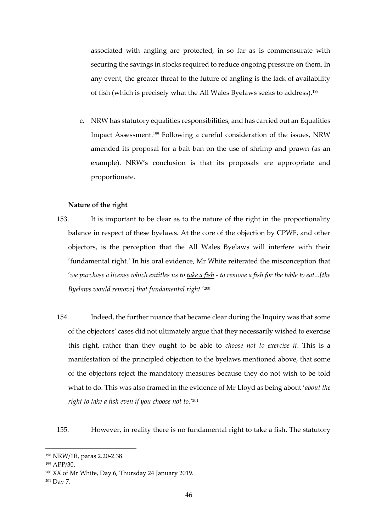associated with angling are protected, in so far as is commensurate with securing the savings in stocks required to reduce ongoing pressure on them. In any event, the greater threat to the future of angling is the lack of availability of fish (which is precisely what the All Wales Byelaws seeks to address).<sup>198</sup>

c. NRW has statutory equalities responsibilities, and has carried out an Equalities Impact Assessment.<sup>199</sup> Following a careful consideration of the issues, NRW amended its proposal for a bait ban on the use of shrimp and prawn (as an example). NRW's conclusion is that its proposals are appropriate and proportionate.

#### **Nature of the right**

- 153. It is important to be clear as to the nature of the right in the proportionality balance in respect of these byelaws. At the core of the objection by CPWF, and other objectors, is the perception that the All Wales Byelaws will interfere with their 'fundamental right.' In his oral evidence, Mr White reiterated the misconception that '*we purchase a license which entitles us to take a fish - to remove a fish for the table to eat...[the Byelaws would remove] that fundamental right.*' 200
- 154. Indeed, the further nuance that became clear during the Inquiry was that some of the objectors' cases did not ultimately argue that they necessarily wished to exercise this right, rather than they ought to be able to *choose not to exercise it*. This is a manifestation of the principled objection to the byelaws mentioned above, that some of the objectors reject the mandatory measures because they do not wish to be told what to do. This was also framed in the evidence of Mr Lloyd as being about '*about the right to take a fish even if you choose not to*.'<sup>201</sup>

155. However, in reality there is no fundamental right to take a fish. The statutory

<sup>198</sup> NRW/1R, paras 2.20-2.38.

<sup>199</sup> APP/30.

<sup>200</sup> XX of Mr White, Day 6, Thursday 24 January 2019.

<sup>201</sup> Day 7.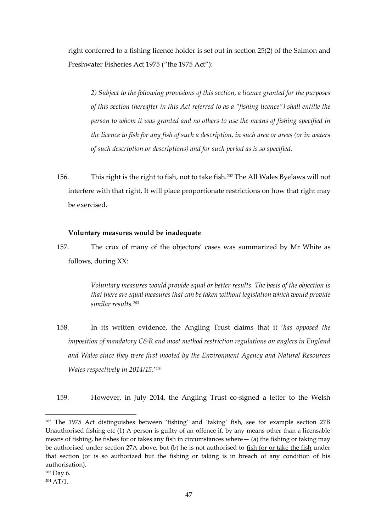right conferred to a fishing licence holder is set out in section 25(2) of the Salmon and Freshwater Fisheries Act 1975 ("the 1975 Act"):

*2) Subject to the following provisions of this section, a licence granted for the purposes of this section (hereafter in this Act referred to as a "fishing licence") shall entitle the person to whom it was granted and no others to use the means of fishing specified in the licence to fish for any fish of such a description, in such area or areas (or in waters of such description or descriptions) and for such period as is so specified.*

156. This right is the right to fish, not to take fish.<sup>202</sup> The All Wales Byelaws will not interfere with that right. It will place proportionate restrictions on how that right may be exercised.

# **Voluntary measures would be inadequate**

157. The crux of many of the objectors' cases was summarized by Mr White as follows, during XX:

> *Voluntary measures would provide equal or better results. The basis of the objection is that there are equal measures that can be taken without legislation which would provide similar results.<sup>203</sup>*

- 158. In its written evidence, the Angling Trust claims that it '*has opposed the imposition of mandatory C&R and most method restriction regulations on anglers in England and Wales since they were first mooted by the Environment Agency and Natural Resources Wales respectively in 2014/15*.'<sup>204</sup>
- 159. However, in July 2014, the Angling Trust co-signed a letter to the Welsh

<sup>202</sup> The 1975 Act distinguishes between 'fishing' and 'taking' fish, see for example section 27B Unauthorised fishing etc (1) A person is guilty of an offence if, by any means other than a licensable means of fishing, he fishes for or takes any fish in circumstances where  $-$  (a) the fishing or taking may be authorised under section 27A above, but (b) he is not authorised to fish for or take the fish under that section (or is so authorized but the fishing or taking is in breach of any condition of his authorisation).

<sup>203</sup> Day 6.

<sup>204</sup> AT/1.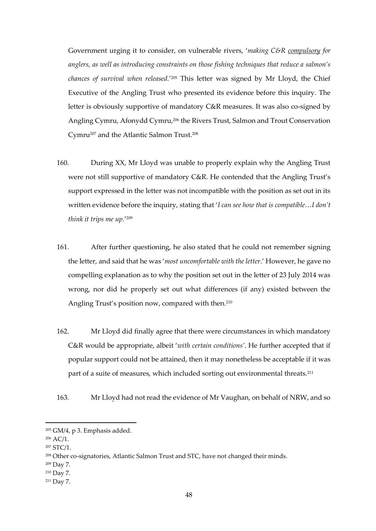Government urging it to consider, on vulnerable rivers, '*making C&R compulsory for*  anglers, as well as introducing constraints on those fishing techniques that reduce a salmon's *chances of survival when released.*' <sup>205</sup> This letter was signed by Mr Lloyd, the Chief Executive of the Angling Trust who presented its evidence before this inquiry. The letter is obviously supportive of mandatory C&R measures. It was also co-signed by Angling Cymru, Afonydd Cymru,<sup>206</sup> the Rivers Trust, Salmon and Trout Conservation Cymru<sup>207</sup> and the Atlantic Salmon Trust.<sup>208</sup>

- 160. During XX, Mr Lloyd was unable to properly explain why the Angling Trust were not still supportive of mandatory C&R. He contended that the Angling Trust's support expressed in the letter was not incompatible with the position as set out in its written evidence before the inquiry, stating that '*I can see how that is compatible*…*I don't think it trips me up.*' 209
- 161. After further questioning, he also stated that he could not remember signing the letter, and said that he was '*most uncomfortable with the letter*.' However, he gave no compelling explanation as to why the position set out in the letter of 23 July 2014 was wrong, nor did he properly set out what differences (if any) existed between the Angling Trust's position now, compared with then.<sup>210</sup>
- 162. Mr Lloyd did finally agree that there were circumstances in which mandatory C&R would be appropriate, albeit '*with certain conditions'*. He further accepted that if popular support could not be attained, then it may nonetheless be acceptable if it was part of a suite of measures, which included sorting out environmental threats.<sup>211</sup>
- 163. Mr Lloyd had not read the evidence of Mr Vaughan, on behalf of NRW, and so

<sup>205</sup> GM/4, p 3. Emphasis added.

<sup>206</sup> AC/1.

<sup>207</sup> STC/1.

<sup>208</sup> Other co-signatories, Atlantic Salmon Trust and STC, have not changed their minds.

<sup>209</sup> Day 7.

<sup>210</sup> Day 7.

<sup>211</sup> Day 7.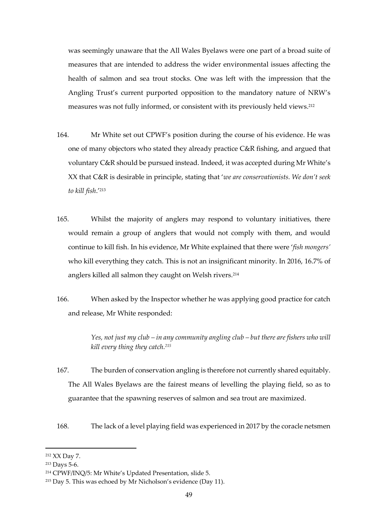was seemingly unaware that the All Wales Byelaws were one part of a broad suite of measures that are intended to address the wider environmental issues affecting the health of salmon and sea trout stocks. One was left with the impression that the Angling Trust's current purported opposition to the mandatory nature of NRW's measures was not fully informed, or consistent with its previously held views. 212

- 164. Mr White set out CPWF's position during the course of his evidence. He was one of many objectors who stated they already practice C&R fishing, and argued that voluntary C&R should be pursued instead. Indeed, it was accepted during Mr White's XX that C&R is desirable in principle, stating that '*we are conservationists. We don't seek to kill fish*.'<sup>213</sup>
- 165. Whilst the majority of anglers may respond to voluntary initiatives, there would remain a group of anglers that would not comply with them, and would continue to kill fish. In his evidence, Mr White explained that there were '*fish mongers'* who kill everything they catch. This is not an insignificant minority. In 2016, 16.7% of anglers killed all salmon they caught on Welsh rivers.<sup>214</sup>
- 166. When asked by the Inspector whether he was applying good practice for catch and release, Mr White responded:

*Yes, not just my club – in any community angling club – but there are fishers who will kill every thing they catch.<sup>215</sup>*

- 167. The burden of conservation angling is therefore not currently shared equitably. The All Wales Byelaws are the fairest means of levelling the playing field, so as to guarantee that the spawning reserves of salmon and sea trout are maximized.
- 168. The lack of a level playing field was experienced in 2017 by the coracle netsmen

<sup>212</sup> XX Day 7.

<sup>213</sup> Days 5-6.

<sup>214</sup> CPWF/INQ/5: Mr White's Updated Presentation, slide 5.

<sup>215</sup> Day 5. This was echoed by Mr Nicholson's evidence (Day 11).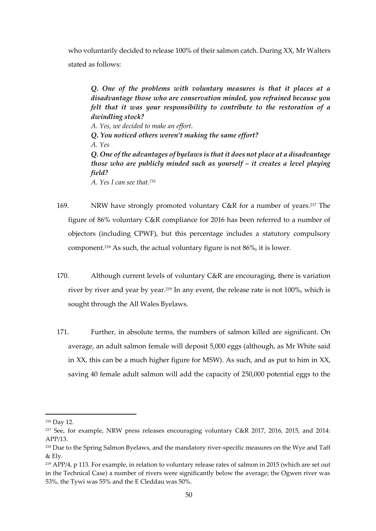who voluntarily decided to release 100% of their salmon catch. During XX, Mr Walters stated as follows:

*Q. One of the problems with voluntary measures is that it places at a disadvantage those who are conservation minded, you refrained because you felt that it was your responsibility to contribute to the restoration of a dwindling stock? A. Yes, we decided to make an effort. Q. You noticed others weren't making the same effort? A. Yes Q. One of the advantages of byelaws is that it does not place at a disadvantage those who are publicly minded such as yourself – it creates a level playing field? A. Yes I can see that.<sup>216</sup>*

- 169. NRW have strongly promoted voluntary C&R for a number of years.<sup>217</sup> The figure of 86% voluntary C&R compliance for 2016 has been referred to a number of objectors (including CPWF), but this percentage includes a statutory compulsory component.<sup>218</sup> As such, the actual voluntary figure is not 86%, it is lower.
- 170. Although current levels of voluntary C&R are encouraging, there is variation river by river and year by year. <sup>219</sup> In any event, the release rate is not 100%, which is sought through the All Wales Byelaws.
- 171. Further, in absolute terms, the numbers of salmon killed are significant. On average, an adult salmon female will deposit 5,000 eggs (although, as Mr White said in XX, this can be a much higher figure for MSW). As such, and as put to him in XX, saving 40 female adult salmon will add the capacity of 250,000 potential eggs to the

<sup>216</sup> Day 12.

<sup>217</sup> See, for example, NRW press releases encouraging voluntary C&R 2017, 2016, 2015, and 2014: APP/13.

<sup>&</sup>lt;sup>218</sup> Due to the Spring Salmon Byelaws, and the mandatory river-specific measures on the Wye and Taff & Ely.

<sup>219</sup> APP/4, p 113. For example, in relation to voluntary release rates of salmon in 2015 (which are set out in the Technical Case) a number of rivers were significantly below the average; the Ogwen river was 53%, the Tywi was 55% and the E Cleddau was 50%.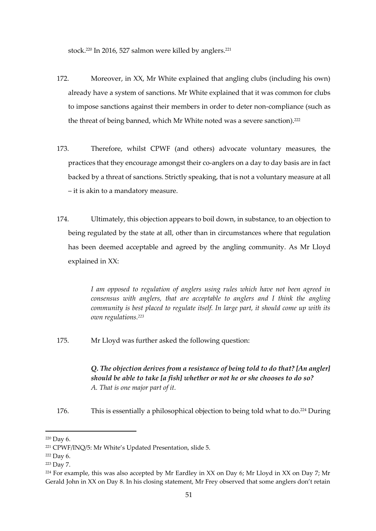stock.<sup>220</sup> In 2016, 527 salmon were killed by anglers.<sup>221</sup>

- 172. Moreover, in XX, Mr White explained that angling clubs (including his own) already have a system of sanctions. Mr White explained that it was common for clubs to impose sanctions against their members in order to deter non-compliance (such as the threat of being banned, which Mr White noted was a severe sanction).<sup>222</sup>
- 173. Therefore, whilst CPWF (and others) advocate voluntary measures, the practices that they encourage amongst their co-anglers on a day to day basis are in fact backed by a threat of sanctions. Strictly speaking, that is not a voluntary measure at all – it is akin to a mandatory measure.
- 174. Ultimately, this objection appears to boil down, in substance, to an objection to being regulated by the state at all, other than in circumstances where that regulation has been deemed acceptable and agreed by the angling community. As Mr Lloyd explained in XX:

*I am opposed to regulation of anglers using rules which have not been agreed in consensus with anglers, that are acceptable to anglers and I think the angling community is best placed to regulate itself. In large part, it should come up with its own regulations.<sup>223</sup>*

175. Mr Lloyd was further asked the following question:

*Q. The objection derives from a resistance of being told to do that? [An angler] should be able to take [a fish] whether or not he or she chooses to do so? A. That is one major part of it.*

176. This is essentially a philosophical objection to being told what to do.<sup>224</sup> During

<sup>220</sup> Day 6.

<sup>221</sup> CPWF/INQ/5: Mr White's Updated Presentation, slide 5.

<sup>222</sup> Day 6.

<sup>223</sup> Day 7.

<sup>&</sup>lt;sup>224</sup> For example, this was also accepted by Mr Eardley in XX on Day 6; Mr Lloyd in XX on Day 7; Mr Gerald John in XX on Day 8. In his closing statement, Mr Frey observed that some anglers don't retain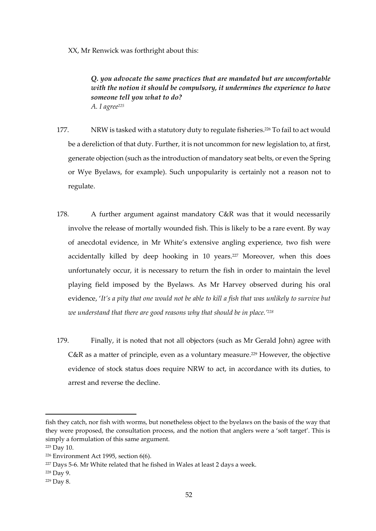XX, Mr Renwick was forthright about this:

*Q. you advocate the same practices that are mandated but are uncomfortable with the notion it should be compulsory, it undermines the experience to have someone tell you what to do? A. I agree<sup>225</sup>*

- 177. NRW is tasked with a statutory duty to regulate fisheries. <sup>226</sup> To fail to act would be a dereliction of that duty. Further, it is not uncommon for new legislation to, at first, generate objection (such as the introduction of mandatory seat belts, or even the Spring or Wye Byelaws, for example). Such unpopularity is certainly not a reason not to regulate.
- 178. A further argument against mandatory C&R was that it would necessarily involve the release of mortally wounded fish. This is likely to be a rare event. By way of anecdotal evidence, in Mr White's extensive angling experience, two fish were accidentally killed by deep hooking in 10 years.<sup>227</sup> Moreover, when this does unfortunately occur, it is necessary to return the fish in order to maintain the level playing field imposed by the Byelaws. As Mr Harvey observed during his oral evidence, '*It's a pity that one would not be able to kill a fish that was unlikely to survive but we understand that there are good reasons why that should be in place.' 228*
- 179. Finally, it is noted that not all objectors (such as Mr Gerald John) agree with C&R as a matter of principle, even as a voluntary measure.<sup>229</sup> However, the objective evidence of stock status does require NRW to act, in accordance with its duties, to arrest and reverse the decline.

fish they catch, nor fish with worms, but nonetheless object to the byelaws on the basis of the way that they were proposed, the consultation process, and the notion that anglers were a 'soft target'. This is simply a formulation of this same argument.

<sup>225</sup> Day 10.

<sup>226</sup> Environment Act 1995, section 6(6).

<sup>&</sup>lt;sup>227</sup> Days 5-6. Mr White related that he fished in Wales at least 2 days a week.

<sup>228</sup> Day 9.

<sup>229</sup> Day 8.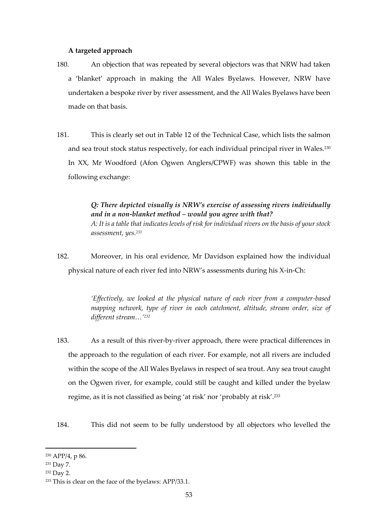#### **A targeted approach**

- 180. An objection that was repeated by several objectors was that NRW had taken a 'blanket' approach in making the All Wales Byelaws. However, NRW have undertaken a bespoke river by river assessment, and the All Wales Byelaws have been made on that basis.
- 181. This is clearly set out in Table 12 of the Technical Case, which lists the salmon and sea trout stock status respectively, for each individual principal river in Wales.<sup>230</sup> In XX, Mr Woodford (Afon Ogwen Anglers/CPWF) was shown this table in the following exchange:

*Q: There depicted visually is NRW's exercise of assessing rivers individually and in a non-blanket method – would you agree with that? A: It is a table that indicates levels of risk for individual rivers on the basis of your stock assessment, yes.<sup>231</sup>*

182. Moreover, in his oral evidence, Mr Davidson explained how the individual physical nature of each river fed into NRW's assessments during his X-in-Ch:

> *'Effectively, we looked at the physical nature of each river from a computer-based mapping network, type of river in each catchment, altitude, stream order, size of different stream…'<sup>232</sup>*

- 183. As a result of this river-by-river approach, there were practical differences in the approach to the regulation of each river. For example, not all rivers are included within the scope of the All Wales Byelaws in respect of sea trout. Any sea trout caught on the Ogwen river, for example, could still be caught and killed under the byelaw regime, as it is not classified as being 'at risk' nor 'probably at risk'.<sup>233</sup>
- 184. This did not seem to be fully understood by all objectors who levelled the

<sup>230</sup> APP/4, p 86.

<sup>231</sup> Day 7.

<sup>232</sup> Day 2.

<sup>233</sup> This is clear on the face of the byelaws: APP/33.1.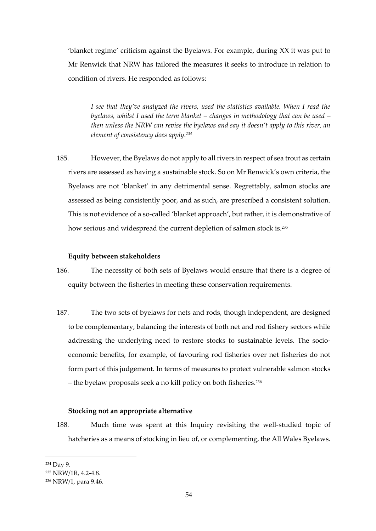'blanket regime' criticism against the Byelaws. For example, during XX it was put to Mr Renwick that NRW has tailored the measures it seeks to introduce in relation to condition of rivers. He responded as follows:

*I see that they've analyzed the rivers, used the statistics available. When I read the byelaws, whilst I used the term blanket – changes in methodology that can be used – then unless the NRW can revise the byelaws and say it doesn't apply to this river, an element of consistency does apply.<sup>234</sup>*

185. However, the Byelaws do not apply to all rivers in respect of sea trout as certain rivers are assessed as having a sustainable stock. So on Mr Renwick's own criteria, the Byelaws are not 'blanket' in any detrimental sense. Regrettably, salmon stocks are assessed as being consistently poor, and as such, are prescribed a consistent solution. This is not evidence of a so-called 'blanket approach', but rather, it is demonstrative of how serious and widespread the current depletion of salmon stock is.<sup>235</sup>

# **Equity between stakeholders**

- 186. The necessity of both sets of Byelaws would ensure that there is a degree of equity between the fisheries in meeting these conservation requirements.
- 187. The two sets of byelaws for nets and rods, though independent, are designed to be complementary, balancing the interests of both net and rod fishery sectors while addressing the underlying need to restore stocks to sustainable levels. The socioeconomic benefits, for example, of favouring rod fisheries over net fisheries do not form part of this judgement. In terms of measures to protect vulnerable salmon stocks – the byelaw proposals seek a no kill policy on both fisheries.<sup>236</sup>

# **Stocking not an appropriate alternative**

188. Much time was spent at this Inquiry revisiting the well-studied topic of hatcheries as a means of stocking in lieu of, or complementing, the All Wales Byelaws.

<sup>234</sup> Day 9.

<sup>235</sup> NRW/1R, 4.2-4.8.

<sup>236</sup> NRW/1, para 9.46.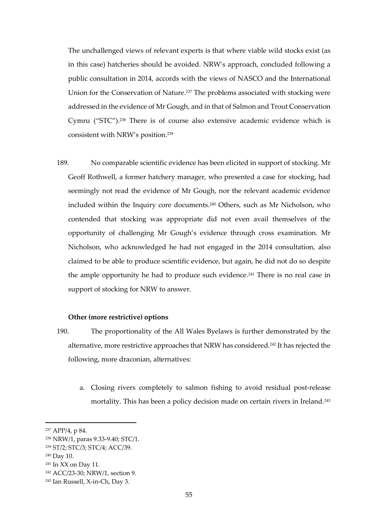The unchallenged views of relevant experts is that where viable wild stocks exist (as in this case) hatcheries should be avoided. NRW's approach, concluded following a public consultation in 2014, accords with the views of NASCO and the International Union for the Conservation of Nature. <sup>237</sup> The problems associated with stocking were addressed in the evidence of Mr Gough, and in that of Salmon and Trout Conservation Cymru ("STC"). <sup>238</sup> There is of course also extensive academic evidence which is consistent with NRW's position.<sup>239</sup>

189. No comparable scientific evidence has been elicited in support of stocking. Mr Geoff Rothwell, a former hatchery manager, who presented a case for stocking, had seemingly not read the evidence of Mr Gough, nor the relevant academic evidence included within the Inquiry core documents.<sup>240</sup> Others, such as Mr Nicholson, who contended that stocking was appropriate did not even avail themselves of the opportunity of challenging Mr Gough's evidence through cross examination. Mr Nicholson, who acknowledged he had not engaged in the 2014 consultation, also claimed to be able to produce scientific evidence, but again, he did not do so despite the ample opportunity he had to produce such evidence. <sup>241</sup> There is no real case in support of stocking for NRW to answer.

#### **Other (more restrictive) options**

- 190. The proportionality of the All Wales Byelaws is further demonstrated by the alternative, more restrictive approaches that NRW has considered. <sup>242</sup> It has rejected the following, more draconian, alternatives:
	- a. Closing rivers completely to salmon fishing to avoid residual post-release mortality. This has been a policy decision made on certain rivers in Ireland.<sup>243</sup>

<sup>237</sup> APP/4, p 84.

<sup>238</sup> NRW/1, paras 9.33-9.40; STC/1.

<sup>239</sup> ST/2; STC/3; STC/4; ACC/39.

<sup>240</sup> Day 10.

<sup>241</sup> In XX on Day 11.

<sup>242</sup> ACC/23-30; NRW/1, section 9.

<sup>243</sup> Ian Russell, X-in-Ch, Day 3.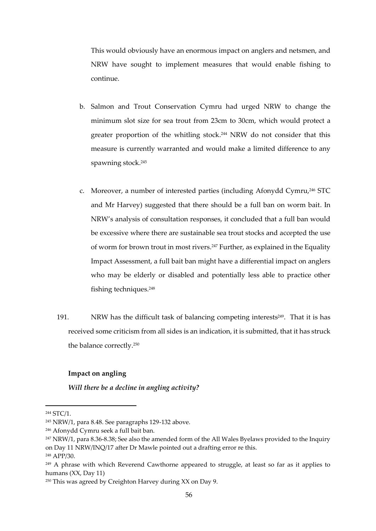This would obviously have an enormous impact on anglers and netsmen, and NRW have sought to implement measures that would enable fishing to continue.

- b. Salmon and Trout Conservation Cymru had urged NRW to change the minimum slot size for sea trout from 23cm to 30cm, which would protect a greater proportion of the whitling stock. <sup>244</sup> NRW do not consider that this measure is currently warranted and would make a limited difference to any spawning stock.<sup>245</sup>
- c. Moreover, a number of interested parties (including Afonydd Cymru,<sup>246</sup> STC and Mr Harvey) suggested that there should be a full ban on worm bait. In NRW's analysis of consultation responses, it concluded that a full ban would be excessive where there are sustainable sea trout stocks and accepted the use of worm for brown trout in most rivers.<sup>247</sup> Further, as explained in the Equality Impact Assessment, a full bait ban might have a differential impact on anglers who may be elderly or disabled and potentially less able to practice other fishing techniques.<sup>248</sup>
- 191. NRW has the difficult task of balancing competing interests<sup>249</sup>. That it is has received some criticism from all sides is an indication, it is submitted, that it has struck the balance correctly. 250

#### **Impact on angling**

*Will there be a decline in angling activity?*

<sup>244</sup> STC/1.

<sup>245</sup> NRW/1, para 8.48. See paragraphs 129-132 above.

<sup>246</sup> Afonydd Cymru seek a full bait ban.

<sup>&</sup>lt;sup>247</sup> NRW/1, para 8.36-8.38; See also the amended form of the All Wales Byelaws provided to the Inquiry on Day 11 NRW/INQ/17 after Dr Mawle pointed out a drafting error re this.

<sup>248</sup> APP/30.

<sup>&</sup>lt;sup>249</sup> A phrase with which Reverend Cawthorne appeared to struggle, at least so far as it applies to humans (XX, Day 11)

<sup>250</sup> This was agreed by Creighton Harvey during XX on Day 9.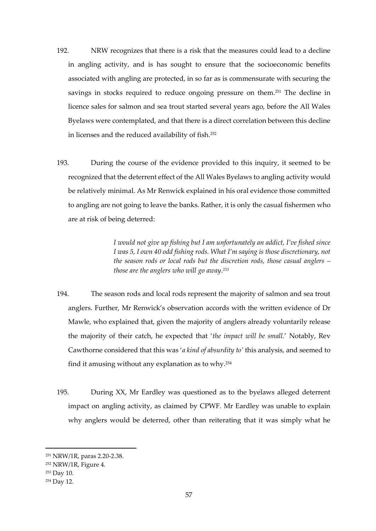- 192. NRW recognizes that there is a risk that the measures could lead to a decline in angling activity, and is has sought to ensure that the socioeconomic benefits associated with angling are protected, in so far as is commensurate with securing the savings in stocks required to reduce ongoing pressure on them.<sup>251</sup> The decline in licence sales for salmon and sea trout started several years ago, before the All Wales Byelaws were contemplated, and that there is a direct correlation between this decline in licenses and the reduced availability of fish.<sup>252</sup>
- 193. During the course of the evidence provided to this inquiry, it seemed to be recognized that the deterrent effect of the All Wales Byelaws to angling activity would be relatively minimal. As Mr Renwick explained in his oral evidence those committed to angling are not going to leave the banks. Rather, it is only the casual fishermen who are at risk of being deterred:

*I would not give up fishing but I am unfortunately an addict, I've fished since I was 5, I own 40 odd fishing rods. What I'm saying is those discretionary, not the season rods or local rods but the discretion rods, those casual anglers – those are the anglers who will go away.<sup>253</sup>*

- 194. The season rods and local rods represent the majority of salmon and sea trout anglers. Further, Mr Renwick's observation accords with the written evidence of Dr Mawle, who explained that, given the majority of anglers already voluntarily release the majority of their catch, he expected that '*the impact will be small.*' Notably, Rev Cawthorne considered that this was '*a kind of absurdity to'* this analysis, and seemed to find it amusing without any explanation as to why.<sup>254</sup>
- 195. During XX, Mr Eardley was questioned as to the byelaws alleged deterrent impact on angling activity, as claimed by CPWF. Mr Eardley was unable to explain why anglers would be deterred, other than reiterating that it was simply what he

<sup>251</sup> NRW/1R, paras 2.20-2.38.

<sup>252</sup> NRW/1R, Figure 4.

<sup>253</sup> Day 10.

<sup>254</sup> Day 12.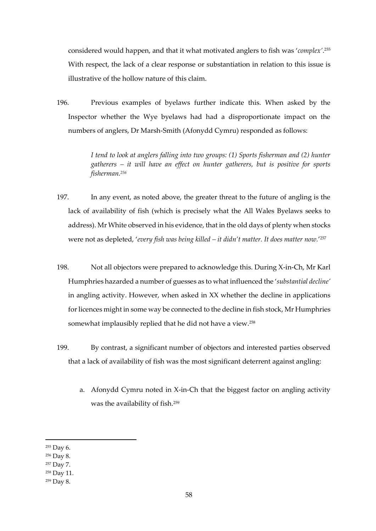considered would happen, and that it what motivated anglers to fish was '*complex'*. 255 With respect, the lack of a clear response or substantiation in relation to this issue is illustrative of the hollow nature of this claim.

196. Previous examples of byelaws further indicate this. When asked by the Inspector whether the Wye byelaws had had a disproportionate impact on the numbers of anglers, Dr Marsh-Smith (Afonydd Cymru) responded as follows:

> *I tend to look at anglers falling into two groups: (1) Sports fisherman and (2) hunter gatherers – it will have an effect on hunter gatherers, but is positive for sports fisherman.<sup>256</sup>*

- 197. In any event, as noted above, the greater threat to the future of angling is the lack of availability of fish (which is precisely what the All Wales Byelaws seeks to address). Mr White observed in his evidence, that in the old days of plenty when stocks were not as depleted, '*every fish was being killed – it didn't matter. It does matter now.*' 257
- 198. Not all objectors were prepared to acknowledge this. During X-in-Ch, Mr Karl Humphries hazarded a number of guesses as to what influenced the '*substantial decline'*  in angling activity. However, when asked in XX whether the decline in applications for licences might in some way be connected to the decline in fish stock, Mr Humphries somewhat implausibly replied that he did not have a view.<sup>258</sup>
- 199. By contrast, a significant number of objectors and interested parties observed that a lack of availability of fish was the most significant deterrent against angling:
	- a. Afonydd Cymru noted in X-in-Ch that the biggest factor on angling activity was the availability of fish. 259

<sup>255</sup> Day 6.

<sup>256</sup> Day 8.

<sup>257</sup> Day 7.

<sup>258</sup> Day 11.

<sup>259</sup> Day 8.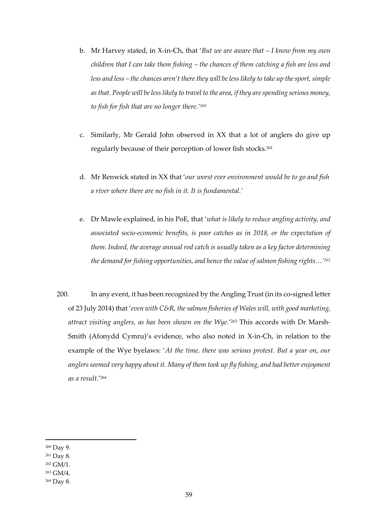- b. Mr Harvey stated, in X-in-Ch, that '*But we are aware that – I know from my own children that I can take them fishing – the chances of them catching a fish are less and less and less – the chances aren't there they will be less likely to take up the sport, simple as that. People will be less likely to travel to the area, if they are spending serious money, to fish for fish that are no longer there.'<sup>260</sup>*
- c. Similarly, Mr Gerald John observed in XX that a lot of anglers do give up regularly because of their perception of lower fish stocks.<sup>261</sup>
- d. Mr Renwick stated in XX that '*our worst ever environment would be to go and fish a river where there are no fish in it. It is fundamental.'*
- e. Dr Mawle explained, in his PoE, that '*what is likely to reduce angling activity, and associated socio-economic benefits, is poor catches as in 2018, or the expectation of them. Indeed, the average annual rod catch is usually taken as a key factor determining the demand for fishing opportunities, and hence the value of salmon fishing rights…'<sup>262</sup>*
- 200. In any event, it has been recognized by the Angling Trust (in its co-signed letter of 23 July 2014) that '*even with C&R, the salmon fisheries of Wales will, with good marketing, attract visiting anglers, as has been shown on the Wye.*' <sup>263</sup> This accords with Dr Marsh-Smith (Afonydd Cymru)'s evidence, who also noted in X-in-Ch, in relation to the example of the Wye byelaws: '*At the time, there was serious protest. But a year on, our anglers seemed very happy about it. Many of them took up fly fishing, and had better enjoyment as a result.*' 264

<sup>260</sup> Day 9.

<sup>261</sup> Day 8.

<sup>262</sup> GM/1.

<sup>263</sup> GM/4.

<sup>264</sup> Day 8.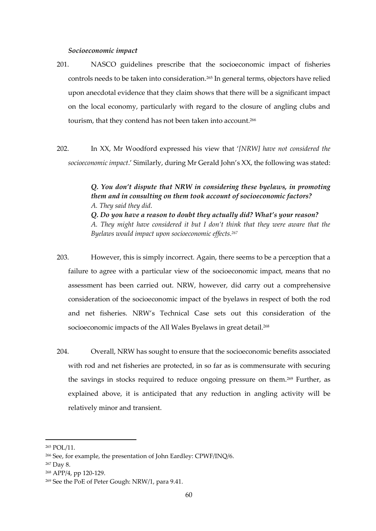#### *Socioeconomic impact*

- 201. NASCO guidelines prescribe that the socioeconomic impact of fisheries controls needs to be taken into consideration.<sup>265</sup> In general terms, objectors have relied upon anecdotal evidence that they claim shows that there will be a significant impact on the local economy, particularly with regard to the closure of angling clubs and tourism, that they contend has not been taken into account.<sup>266</sup>
- 202. In XX, Mr Woodford expressed his view that '*[NRW] have not considered the socioeconomic impact*.' Similarly, during Mr Gerald John's XX, the following was stated:

*Q. You don't dispute that NRW in considering these byelaws, in promoting them and in consulting on them took account of socioeconomic factors? A. They said they did. Q. Do you have a reason to doubt they actually did? What's your reason? A. They might have considered it but I don't think that they were aware that the Byelaws would impact upon socioeconomic effects.<sup>267</sup>*

- 203. However, this is simply incorrect. Again, there seems to be a perception that a failure to agree with a particular view of the socioeconomic impact, means that no assessment has been carried out. NRW, however, did carry out a comprehensive consideration of the socioeconomic impact of the byelaws in respect of both the rod and net fisheries. NRW's Technical Case sets out this consideration of the socioeconomic impacts of the All Wales Byelaws in great detail.<sup>268</sup>
- 204. Overall, NRW has sought to ensure that the socioeconomic benefits associated with rod and net fisheries are protected, in so far as is commensurate with securing the savings in stocks required to reduce ongoing pressure on them.<sup>269</sup> Further, as explained above, it is anticipated that any reduction in angling activity will be relatively minor and transient.

<sup>265</sup> POL/11.

<sup>266</sup> See, for example, the presentation of John Eardley: CPWF/INQ/6.

<sup>267</sup> Day 8.

<sup>268</sup> APP/4, pp 120-129.

<sup>269</sup> See the PoE of Peter Gough: NRW/1, para 9.41.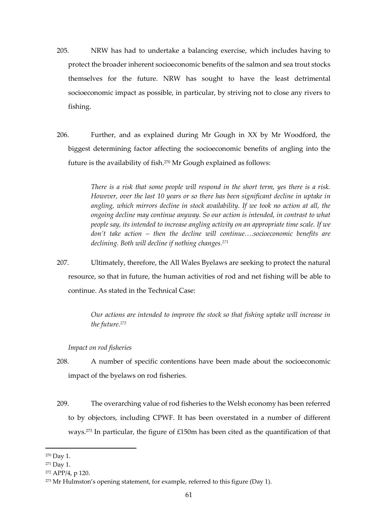- 205. NRW has had to undertake a balancing exercise, which includes having to protect the broader inherent socioeconomic benefits of the salmon and sea trout stocks themselves for the future. NRW has sought to have the least detrimental socioeconomic impact as possible, in particular, by striving not to close any rivers to fishing.
- 206. Further, and as explained during Mr Gough in XX by Mr Woodford, the biggest determining factor affecting the socioeconomic benefits of angling into the future is the availability of fish.<sup>270</sup> Mr Gough explained as follows:

*There is a risk that some people will respond in the short term, yes there is a risk. However, over the last 10 years or so there has been significant decline in uptake in angling, which mirrors decline in stock availability. If we took no action at all, the ongoing decline may continue anyway. So our action is intended, in contrast to what people say, its intended to increase angling activity on an appropriate time scale. If we don't take action – then the decline will continue….socioeconomic benefits are declining. Both will decline if nothing changes.<sup>271</sup>*

207. Ultimately, therefore, the All Wales Byelaws are seeking to protect the natural resource, so that in future, the human activities of rod and net fishing will be able to continue. As stated in the Technical Case:

> *Our actions are intended to improve the stock so that fishing uptake will increase in the future.<sup>272</sup>*

# *Impact on rod fisheries*

- 208. A number of specific contentions have been made about the socioeconomic impact of the byelaws on rod fisheries.
- 209. The overarching value of rod fisheries to the Welsh economy has been referred to by objectors, including CPWF. It has been overstated in a number of different ways.<sup>273</sup> In particular, the figure of £150m has been cited as the quantification of that

<sup>270</sup> Day 1.

<sup>271</sup> Day 1.

<sup>272</sup> APP/4, p 120.

 $273$  Mr Hulmston's opening statement, for example, referred to this figure (Day 1).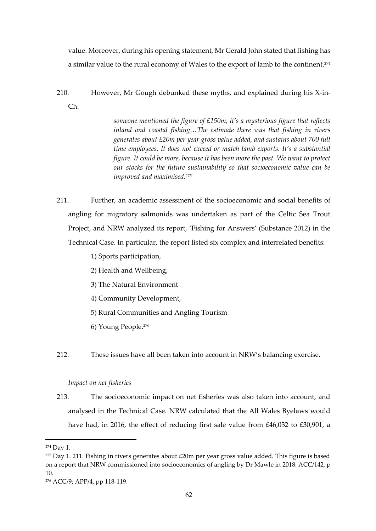value. Moreover, during his opening statement, Mr Gerald John stated that fishing has a similar value to the rural economy of Wales to the export of lamb to the continent.<sup>274</sup>

210. However, Mr Gough debunked these myths, and explained during his X-in-Ch:

> *someone mentioned the figure of £150m, it's a mysterious figure that reflects inland and coastal fishing…The estimate there was that fishing in rivers generates about £20m per year gross value added, and sustains about 700 full time employees. It does not exceed or match lamb exports. It's a substantial figure. It could be more, because it has been more the past. We want to protect our stocks for the future sustainability so that socioeconomic value can be improved and maximised.<sup>275</sup>*

211. Further, an academic assessment of the socioeconomic and social benefits of angling for migratory salmonids was undertaken as part of the Celtic Sea Trout Project, and NRW analyzed its report, 'Fishing for Answers' (Substance 2012) in the Technical Case. In particular, the report listed six complex and interrelated benefits:

1) Sports participation,

- 2) Health and Wellbeing,
- 3) The Natural Environment
- 4) Community Development,
- 5) Rural Communities and Angling Tourism
- 6) Young People. 276
- 212. These issues have all been taken into account in NRW's balancing exercise.

# *Impact on net fisheries*

213. The socioeconomic impact on net fisheries was also taken into account, and analysed in the Technical Case. NRW calculated that the All Wales Byelaws would have had, in 2016, the effect of reducing first sale value from £46,032 to £30,901, a

<sup>274</sup> Day 1.

 $275$  Day 1. 211. Fishing in rivers generates about £20m per year gross value added. This figure is based on a report that NRW commissioned into socioeconomics of angling by Dr Mawle in 2018: ACC/142, p 10.

<sup>276</sup> ACC/9; APP/4, pp 118-119.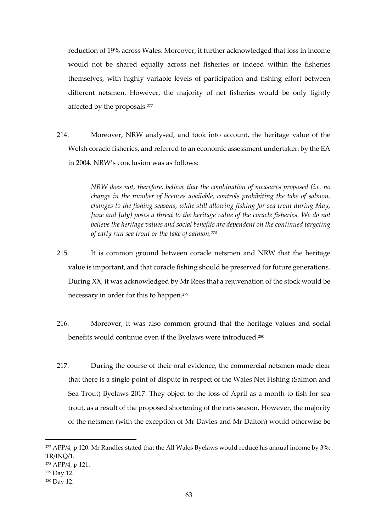reduction of 19% across Wales. Moreover, it further acknowledged that loss in income would not be shared equally across net fisheries or indeed within the fisheries themselves, with highly variable levels of participation and fishing effort between different netsmen. However, the majority of net fisheries would be only lightly affected by the proposals.<sup>277</sup>

214. Moreover, NRW analysed, and took into account, the heritage value of the Welsh coracle fisheries, and referred to an economic assessment undertaken by the EA in 2004. NRW's conclusion was as follows:

> *NRW does not, therefore, believe that the combination of measures proposed (i.e. no change in the number of licences available, controls prohibiting the take of salmon, changes to the fishing seasons, while still allowing fishing for sea trout during May, June and July) poses a threat to the heritage value of the coracle fisheries. We do not believe the heritage values and social benefits are dependent on the continued targeting of early run sea trout or the take of salmon.<sup>278</sup>*

- 215. It is common ground between coracle netsmen and NRW that the heritage value is important, and that coracle fishing should be preserved for future generations. During XX, it was acknowledged by Mr Rees that a rejuvenation of the stock would be necessary in order for this to happen.<sup>279</sup>
- 216. Moreover, it was also common ground that the heritage values and social benefits would continue even if the Byelaws were introduced.<sup>280</sup>
- 217. During the course of their oral evidence, the commercial netsmen made clear that there is a single point of dispute in respect of the Wales Net Fishing (Salmon and Sea Trout) Byelaws 2017. They object to the loss of April as a month to fish for sea trout, as a result of the proposed shortening of the nets season. However, the majority of the netsmen (with the exception of Mr Davies and Mr Dalton) would otherwise be

<sup>277</sup> APP/4, p 120. Mr Randles stated that the All Wales Byelaws would reduce his annual income by 3%: TR/INQ/1.

<sup>278</sup> APP/4, p 121.

<sup>279</sup> Day 12.

<sup>280</sup> Day 12.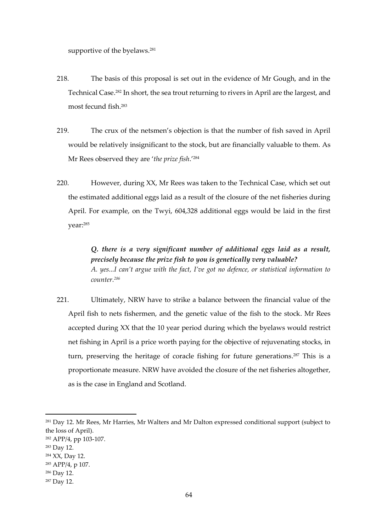supportive of the byelaws. 281

- 218. The basis of this proposal is set out in the evidence of Mr Gough, and in the Technical Case.<sup>282</sup> In short, the sea trout returning to rivers in April are the largest, and most fecund fish.<sup>283</sup>
- 219. The crux of the netsmen's objection is that the number of fish saved in April would be relatively insignificant to the stock, but are financially valuable to them. As Mr Rees observed they are '*the prize fish*.'<sup>284</sup>
- 220. However, during XX, Mr Rees was taken to the Technical Case, which set out the estimated additional eggs laid as a result of the closure of the net fisheries during April. For example, on the Twyi, 604,328 additional eggs would be laid in the first year: 285

*Q. there is a very significant number of additional eggs laid as a result, precisely because the prize fish to you is genetically very valuable? A. yes...I can't argue with the fact, I've got no defence, or statistical information to counter.<sup>286</sup>*

221. Ultimately, NRW have to strike a balance between the financial value of the April fish to nets fishermen, and the genetic value of the fish to the stock. Mr Rees accepted during XX that the 10 year period during which the byelaws would restrict net fishing in April is a price worth paying for the objective of rejuvenating stocks, in turn, preserving the heritage of coracle fishing for future generations. <sup>287</sup> This is a proportionate measure. NRW have avoided the closure of the net fisheries altogether, as is the case in England and Scotland.

<sup>&</sup>lt;sup>281</sup> Day 12. Mr Rees, Mr Harries, Mr Walters and Mr Dalton expressed conditional support (subject to the loss of April).

<sup>282</sup> APP/4, pp 103-107.

<sup>283</sup> Day 12.

<sup>284</sup> XX, Day 12.

<sup>285</sup> APP/4, p 107.

<sup>286</sup> Day 12.

<sup>287</sup> Day 12.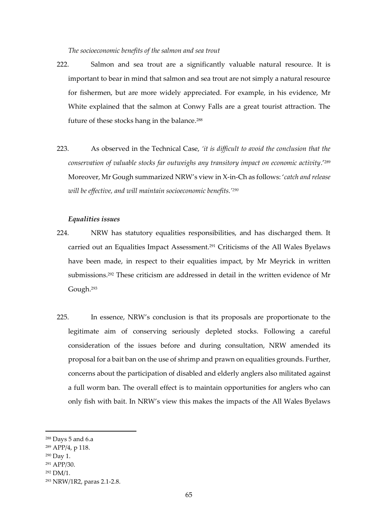#### *The socioeconomic benefits of the salmon and sea trout*

- 222. Salmon and sea trout are a significantly valuable natural resource. It is important to bear in mind that salmon and sea trout are not simply a natural resource for fishermen, but are more widely appreciated. For example, in his evidence, Mr White explained that the salmon at Conwy Falls are a great tourist attraction. The future of these stocks hang in the balance.<sup>288</sup>
- 223. As observed in the Technical Case, *'it is difficult to avoid the conclusion that the conservation of valuable stocks far outweighs any transitory impact on economic activity*.'<sup>289</sup> Moreover, Mr Gough summarized NRW's view in X-in-Ch as follows: '*catch and release will be effective, and will maintain socioeconomic benefits.'<sup>290</sup>*

#### *Equalities issues*

- 224. NRW has statutory equalities responsibilities, and has discharged them. It carried out an Equalities Impact Assessment.<sup>291</sup> Criticisms of the All Wales Byelaws have been made, in respect to their equalities impact, by Mr Meyrick in written submissions. <sup>292</sup> These criticism are addressed in detail in the written evidence of Mr Gough.<sup>293</sup>
- 225. In essence, NRW's conclusion is that its proposals are proportionate to the legitimate aim of conserving seriously depleted stocks. Following a careful consideration of the issues before and during consultation, NRW amended its proposal for a bait ban on the use of shrimp and prawn on equalities grounds. Further, concerns about the participation of disabled and elderly anglers also militated against a full worm ban. The overall effect is to maintain opportunities for anglers who can only fish with bait. In NRW's view this makes the impacts of the All Wales Byelaws

<sup>288</sup> Days 5 and 6.a

<sup>289</sup> APP/4, p 118.

<sup>290</sup> Day 1.

<sup>291</sup> APP/30.

<sup>292</sup> DM/1.

<sup>293</sup> NRW/1R2, paras 2.1-2.8.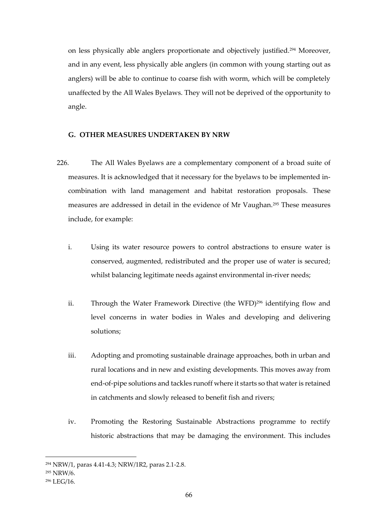on less physically able anglers proportionate and objectively justified.<sup>294</sup> Moreover, and in any event, less physically able anglers (in common with young starting out as anglers) will be able to continue to coarse fish with worm, which will be completely unaffected by the All Wales Byelaws. They will not be deprived of the opportunity to angle.

# **G. OTHER MEASURES UNDERTAKEN BY NRW**

- 226. The All Wales Byelaws are a complementary component of a broad suite of measures. It is acknowledged that it necessary for the byelaws to be implemented incombination with land management and habitat restoration proposals. These measures are addressed in detail in the evidence of Mr Vaughan.<sup>295</sup> These measures include, for example:
	- i. Using its water resource powers to control abstractions to ensure water is conserved, augmented, redistributed and the proper use of water is secured; whilst balancing legitimate needs against environmental in-river needs;
	- ii. Through the Water Framework Directive (the WFD)<sup>296</sup> identifying flow and level concerns in water bodies in Wales and developing and delivering solutions;
	- iii. Adopting and promoting sustainable drainage approaches, both in urban and rural locations and in new and existing developments. This moves away from end-of-pipe solutions and tackles runoff where it starts so that water is retained in catchments and slowly released to benefit fish and rivers;
	- iv. Promoting the Restoring Sustainable Abstractions programme to rectify historic abstractions that may be damaging the environment. This includes

<sup>294</sup> NRW/1, paras 4.41-4.3; NRW/1R2, paras 2.1-2.8.

<sup>295</sup> NRW/6.

<sup>296</sup> LEG/16.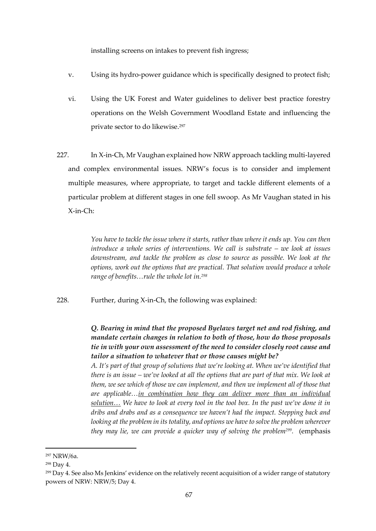installing screens on intakes to prevent fish ingress;

- v. Using its hydro-power guidance which is specifically designed to protect fish;
- vi. Using the UK Forest and Water guidelines to deliver best practice forestry operations on the Welsh Government Woodland Estate and influencing the private sector to do likewise.<sup>297</sup>
- 227. In X-in-Ch, Mr Vaughan explained how NRW approach tackling multi-layered and complex environmental issues. NRW's focus is to consider and implement multiple measures, where appropriate, to target and tackle different elements of a particular problem at different stages in one fell swoop. As Mr Vaughan stated in his X-in-Ch:

*You have to tackle the issue where it starts, rather than where it ends up. You can then introduce a whole series of interventions. We call is substrate – we look at issues downstream, and tackle the problem as close to source as possible. We look at the options, work out the options that are practical. That solution would produce a whole range of benefits…rule the whole lot in.<sup>298</sup>*

228. Further, during X-in-Ch, the following was explained:

*Q. Bearing in mind that the proposed Byelaws target net and rod fishing, and mandate certain changes in relation to both of those, how do those proposals tie in with your own assessment of the need to consider closely root cause and tailor a situation to whatever that or those causes might be?*

*A. It's part of that group of solutions that we're looking at. When we've identified that there is an issue – we've looked at all the options that are part of that mix. We look at them, we see which of those we can implement, and then we implement all of those that are applicable…in combination how they can deliver more than an individual solution… We have to look at every tool in the tool box. In the past we've done it in dribs and drabs and as a consequence we haven't had the impact. Stepping back and looking at the problem in its totality, and options we have to solve the problem wherever they may lie, we can provide a quicker way of solving the problem<sup>299</sup> .* (emphasis

<sup>297</sup> NRW/6a.

<sup>298</sup> Day 4.

<sup>&</sup>lt;sup>299</sup> Day 4. See also Ms Jenkins' evidence on the relatively recent acquisition of a wider range of statutory powers of NRW: NRW/5; Day 4.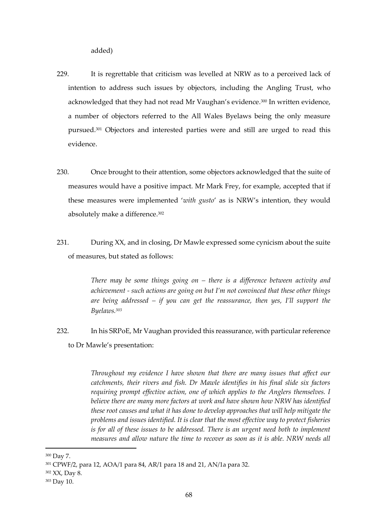added)

- 229. It is regrettable that criticism was levelled at NRW as to a perceived lack of intention to address such issues by objectors, including the Angling Trust, who acknowledged that they had not read Mr Vaughan's evidence.<sup>300</sup> In written evidence, a number of objectors referred to the All Wales Byelaws being the only measure pursued.<sup>301</sup> Objectors and interested parties were and still are urged to read this evidence.
- 230. Once brought to their attention, some objectors acknowledged that the suite of measures would have a positive impact. Mr Mark Frey, for example, accepted that if these measures were implemented '*with gusto*' as is NRW's intention, they would absolutely make a difference.<sup>302</sup>
- 231. During XX, and in closing, Dr Mawle expressed some cynicism about the suite of measures, but stated as follows:

*There may be some things going on – there is a difference between activity and achievement - such actions are going on but I'm not convinced that these other things are being addressed – if you can get the reassurance, then yes, I'll support the Byelaws.<sup>303</sup>*

232. In his SRPoE, Mr Vaughan provided this reassurance, with particular reference to Dr Mawle's presentation:

> *Throughout my evidence I have shown that there are many issues that affect our catchments, their rivers and fish. Dr Mawle identifies in his final slide six factors requiring prompt effective action, one of which applies to the Anglers themselves. I believe there are many more factors at work and have shown how NRW has identified these root causes and what it has done to develop approaches that will help mitigate the problems and issues identified. It is clear that the most effective way to protect fisheries is for all of these issues to be addressed. There is an urgent need both to implement measures and allow nature the time to recover as soon as it is able. NRW needs all*

<sup>300</sup> Day 7.

<sup>301</sup> CPWF/2, para 12, AOA/1 para 84, AR/1 para 18 and 21, AN/1a para 32.

<sup>302</sup> XX, Day 8.

<sup>303</sup> Day 10.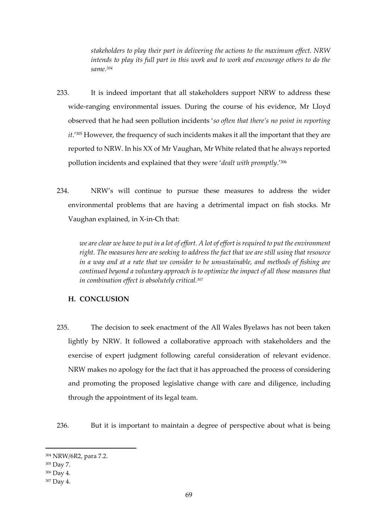*stakeholders to play their part in delivering the actions to the maximum effect. NRW intends to play its full part in this work and to work and encourage others to do the same.<sup>304</sup>*

- 233. It is indeed important that all stakeholders support NRW to address these wide-ranging environmental issues. During the course of his evidence, Mr Lloyd observed that he had seen pollution incidents '*so often that there's no point in reporting it*.'<sup>305</sup> However, the frequency of such incidents makes it all the important that they are reported to NRW. In his XX of Mr Vaughan, Mr White related that he always reported pollution incidents and explained that they were '*dealt with promptly*.'<sup>306</sup>
- 234. NRW's will continue to pursue these measures to address the wider environmental problems that are having a detrimental impact on fish stocks. Mr Vaughan explained, in X-in-Ch that:

*we are clear we have to put in a lot of effort. A lot of effort is required to put the environment right. The measures here are seeking to address the fact that we are still using that resource in a way and at a rate that we consider to be unsustainable, and methods of fishing are continued beyond a voluntary approach is to optimize the impact of all those measures that in combination effect is absolutely critical.<sup>307</sup>*

# **H. CONCLUSION**

235. The decision to seek enactment of the All Wales Byelaws has not been taken lightly by NRW. It followed a collaborative approach with stakeholders and the exercise of expert judgment following careful consideration of relevant evidence. NRW makes no apology for the fact that it has approached the process of considering and promoting the proposed legislative change with care and diligence, including through the appointment of its legal team.

236. But it is important to maintain a degree of perspective about what is being

<sup>304</sup> NRW/6R2, para 7.2.

<sup>305</sup> Day 7.

<sup>306</sup> Day 4.

<sup>307</sup> Day 4.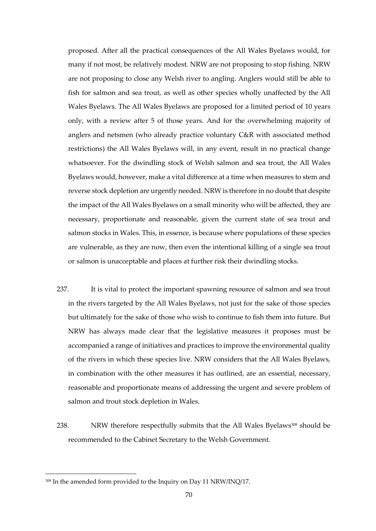proposed. After all the practical consequences of the All Wales Byelaws would, for many if not most, be relatively modest. NRW are not proposing to stop fishing. NRW are not proposing to close any Welsh river to angling. Anglers would still be able to fish for salmon and sea trout, as well as other species wholly unaffected by the All Wales Byelaws. The All Wales Byelaws are proposed for a limited period of 10 years only, with a review after 5 of those years. And for the overwhelming majority of anglers and netsmen (who already practice voluntary C&R with associated method restrictions) the All Wales Byelaws will, in any event, result in no practical change whatsoever. For the dwindling stock of Welsh salmon and sea trout, the All Wales Byelaws would, however, make a vital difference at a time when measures to stem and reverse stock depletion are urgently needed. NRW is therefore in no doubt that despite the impact of the All Wales Byelaws on a small minority who will be affected, they are necessary, proportionate and reasonable, given the current state of sea trout and salmon stocks in Wales. This, in essence, is because where populations of these species are vulnerable, as they are now, then even the intentional killing of a single sea trout or salmon is unacceptable and places at further risk their dwindling stocks.

- 237. It is vital to protect the important spawning resource of salmon and sea trout in the rivers targeted by the All Wales Byelaws, not just for the sake of those species but ultimately for the sake of those who wish to continue to fish them into future. But NRW has always made clear that the legislative measures it proposes must be accompanied a range of initiatives and practices to improve the environmental quality of the rivers in which these species live. NRW considers that the All Wales Byelaws, in combination with the other measures it has outlined, are an essential, necessary, reasonable and proportionate means of addressing the urgent and severe problem of salmon and trout stock depletion in Wales.
- 238. NRW therefore respectfully submits that the All Wales Byelaws<sup>308</sup> should be recommended to the Cabinet Secretary to the Welsh Government.

<sup>&</sup>lt;sup>308</sup> In the amended form provided to the Inquiry on Day 11 NRW/INQ/17.